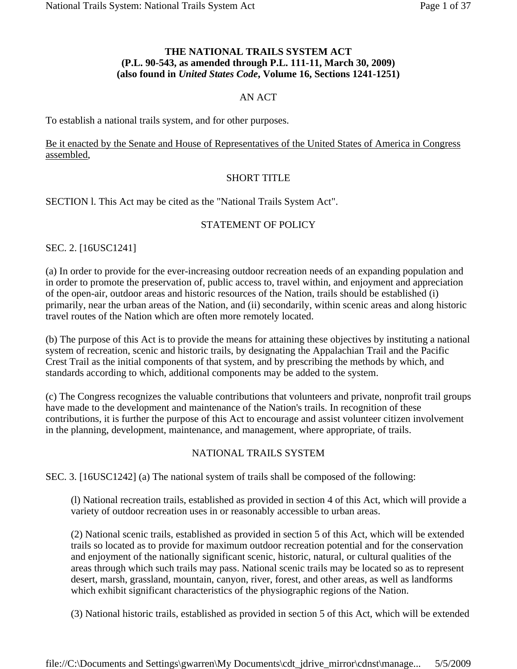### **THE NATIONAL TRAILS SYSTEM ACT (P.L. 90-543, as amended through P.L. 111-11, March 30, 2009) (also found in** *United States Code***, Volume 16, Sections 1241-1251)**

# AN ACT

To establish a national trails system, and for other purposes.

Be it enacted by the Senate and House of Representatives of the United States of America in Congress assembled,

### SHORT TITLE

SECTION l. This Act may be cited as the "National Trails System Act".

# STATEMENT OF POLICY

SEC. 2. [16USC1241]

(a) In order to provide for the ever-increasing outdoor recreation needs of an expanding population and in order to promote the preservation of, public access to, travel within, and enjoyment and appreciation of the open-air, outdoor areas and historic resources of the Nation, trails should be established (i) primarily, near the urban areas of the Nation, and (ii) secondarily, within scenic areas and along historic travel routes of the Nation which are often more remotely located.

(b) The purpose of this Act is to provide the means for attaining these objectives by instituting a national system of recreation, scenic and historic trails, by designating the Appalachian Trail and the Pacific Crest Trail as the initial components of that system, and by prescribing the methods by which, and standards according to which, additional components may be added to the system.

(c) The Congress recognizes the valuable contributions that volunteers and private, nonprofit trail groups have made to the development and maintenance of the Nation's trails. In recognition of these contributions, it is further the purpose of this Act to encourage and assist volunteer citizen involvement in the planning, development, maintenance, and management, where appropriate, of trails.

# NATIONAL TRAILS SYSTEM

SEC. 3. [16USC1242] (a) The national system of trails shall be composed of the following:

(l) National recreation trails, established as provided in section 4 of this Act, which will provide a variety of outdoor recreation uses in or reasonably accessible to urban areas.

(2) National scenic trails, established as provided in section 5 of this Act, which will be extended trails so located as to provide for maximum outdoor recreation potential and for the conservation and enjoyment of the nationally significant scenic, historic, natural, or cultural qualities of the areas through which such trails may pass. National scenic trails may be located so as to represent desert, marsh, grassland, mountain, canyon, river, forest, and other areas, as well as landforms which exhibit significant characteristics of the physiographic regions of the Nation.

(3) National historic trails, established as provided in section 5 of this Act, which will be extended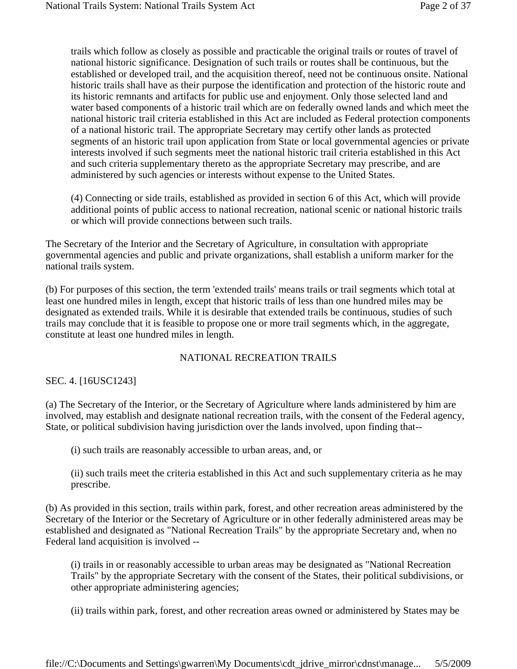trails which follow as closely as possible and practicable the original trails or routes of travel of national historic significance. Designation of such trails or routes shall be continuous, but the established or developed trail, and the acquisition thereof, need not be continuous onsite. National historic trails shall have as their purpose the identification and protection of the historic route and its historic remnants and artifacts for public use and enjoyment. Only those selected land and water based components of a historic trail which are on federally owned lands and which meet the national historic trail criteria established in this Act are included as Federal protection components of a national historic trail. The appropriate Secretary may certify other lands as protected segments of an historic trail upon application from State or local governmental agencies or private interests involved if such segments meet the national historic trail criteria established in this Act and such criteria supplementary thereto as the appropriate Secretary may prescribe, and are administered by such agencies or interests without expense to the United States.

(4) Connecting or side trails, established as provided in section 6 of this Act, which will provide additional points of public access to national recreation, national scenic or national historic trails or which will provide connections between such trails.

The Secretary of the Interior and the Secretary of Agriculture, in consultation with appropriate governmental agencies and public and private organizations, shall establish a uniform marker for the national trails system.

(b) For purposes of this section, the term 'extended trails' means trails or trail segments which total at least one hundred miles in length, except that historic trails of less than one hundred miles may be designated as extended trails. While it is desirable that extended trails be continuous, studies of such trails may conclude that it is feasible to propose one or more trail segments which, in the aggregate, constitute at least one hundred miles in length.

## NATIONAL RECREATION TRAILS

SEC. 4. [16USC1243]

(a) The Secretary of the Interior, or the Secretary of Agriculture where lands administered by him are involved, may establish and designate national recreation trails, with the consent of the Federal agency, State, or political subdivision having jurisdiction over the lands involved, upon finding that--

(i) such trails are reasonably accessible to urban areas, and, or

(ii) such trails meet the criteria established in this Act and such supplementary criteria as he may prescribe.

(b) As provided in this section, trails within park, forest, and other recreation areas administered by the Secretary of the Interior or the Secretary of Agriculture or in other federally administered areas may be established and designated as "National Recreation Trails" by the appropriate Secretary and, when no Federal land acquisition is involved --

(i) trails in or reasonably accessible to urban areas may be designated as "National Recreation Trails" by the appropriate Secretary with the consent of the States, their political subdivisions, or other appropriate administering agencies;

(ii) trails within park, forest, and other recreation areas owned or administered by States may be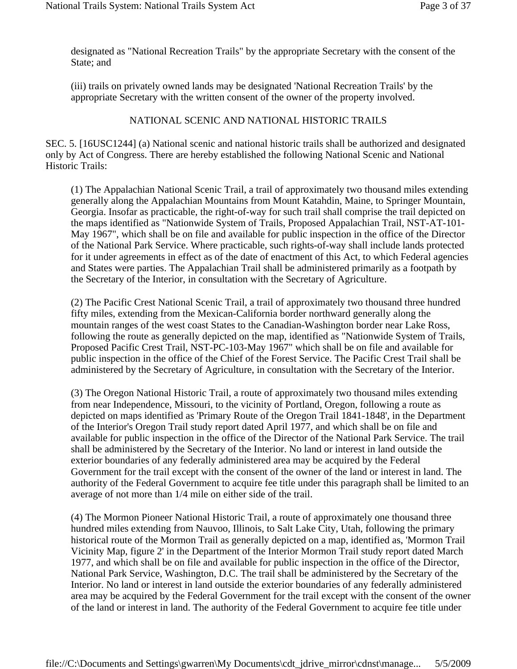designated as "National Recreation Trails" by the appropriate Secretary with the consent of the State; and

(iii) trails on privately owned lands may be designated 'National Recreation Trails' by the appropriate Secretary with the written consent of the owner of the property involved.

## NATIONAL SCENIC AND NATIONAL HISTORIC TRAILS

SEC. 5. [16USC1244] (a) National scenic and national historic trails shall be authorized and designated only by Act of Congress. There are hereby established the following National Scenic and National Historic Trails:

(1) The Appalachian National Scenic Trail, a trail of approximately two thousand miles extending generally along the Appalachian Mountains from Mount Katahdin, Maine, to Springer Mountain, Georgia. Insofar as practicable, the right-of-way for such trail shall comprise the trail depicted on the maps identified as "Nationwide System of Trails, Proposed Appalachian Trail, NST-AT-101- May 1967", which shall be on file and available for public inspection in the office of the Director of the National Park Service. Where practicable, such rights-of-way shall include lands protected for it under agreements in effect as of the date of enactment of this Act, to which Federal agencies and States were parties. The Appalachian Trail shall be administered primarily as a footpath by the Secretary of the Interior, in consultation with the Secretary of Agriculture.

(2) The Pacific Crest National Scenic Trail, a trail of approximately two thousand three hundred fifty miles, extending from the Mexican-California border northward generally along the mountain ranges of the west coast States to the Canadian-Washington border near Lake Ross, following the route as generally depicted on the map, identified as "Nationwide System of Trails, Proposed Pacific Crest Trail, NST-PC-103-May 1967" which shall be on file and available for public inspection in the office of the Chief of the Forest Service. The Pacific Crest Trail shall be administered by the Secretary of Agriculture, in consultation with the Secretary of the Interior.

(3) The Oregon National Historic Trail, a route of approximately two thousand miles extending from near Independence, Missouri, to the vicinity of Portland, Oregon, following a route as depicted on maps identified as 'Primary Route of the Oregon Trail 1841-1848', in the Department of the Interior's Oregon Trail study report dated April 1977, and which shall be on file and available for public inspection in the office of the Director of the National Park Service. The trail shall be administered by the Secretary of the Interior. No land or interest in land outside the exterior boundaries of any federally administered area may be acquired by the Federal Government for the trail except with the consent of the owner of the land or interest in land. The authority of the Federal Government to acquire fee title under this paragraph shall be limited to an average of not more than 1/4 mile on either side of the trail.

(4) The Mormon Pioneer National Historic Trail, a route of approximately one thousand three hundred miles extending from Nauvoo, Illinois, to Salt Lake City, Utah, following the primary historical route of the Mormon Trail as generally depicted on a map, identified as, 'Mormon Trail Vicinity Map, figure 2' in the Department of the Interior Mormon Trail study report dated March 1977, and which shall be on file and available for public inspection in the office of the Director, National Park Service, Washington, D.C. The trail shall be administered by the Secretary of the Interior. No land or interest in land outside the exterior boundaries of any federally administered area may be acquired by the Federal Government for the trail except with the consent of the owner of the land or interest in land. The authority of the Federal Government to acquire fee title under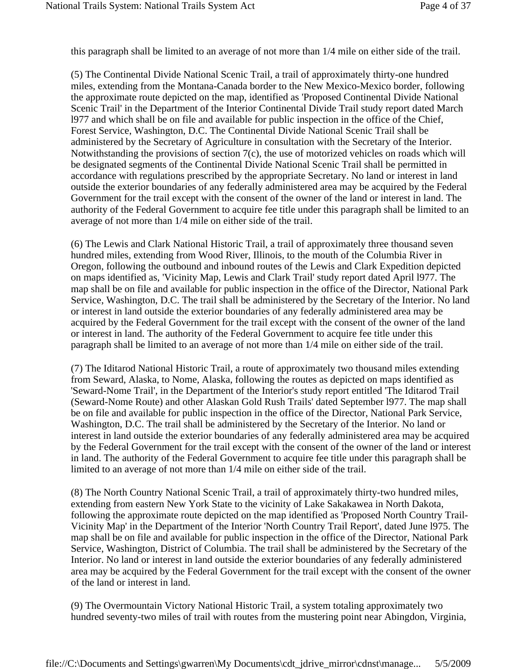this paragraph shall be limited to an average of not more than 1/4 mile on either side of the trail.

(5) The Continental Divide National Scenic Trail, a trail of approximately thirty-one hundred miles, extending from the Montana-Canada border to the New Mexico-Mexico border, following the approximate route depicted on the map, identified as 'Proposed Continental Divide National Scenic Trail' in the Department of the Interior Continental Divide Trail study report dated March l977 and which shall be on file and available for public inspection in the office of the Chief, Forest Service, Washington, D.C. The Continental Divide National Scenic Trail shall be administered by the Secretary of Agriculture in consultation with the Secretary of the Interior. Notwithstanding the provisions of section 7(c), the use of motorized vehicles on roads which will be designated segments of the Continental Divide National Scenic Trail shall be permitted in accordance with regulations prescribed by the appropriate Secretary. No land or interest in land outside the exterior boundaries of any federally administered area may be acquired by the Federal Government for the trail except with the consent of the owner of the land or interest in land. The authority of the Federal Government to acquire fee title under this paragraph shall be limited to an average of not more than 1/4 mile on either side of the trail.

(6) The Lewis and Clark National Historic Trail, a trail of approximately three thousand seven hundred miles, extending from Wood River, Illinois, to the mouth of the Columbia River in Oregon, following the outbound and inbound routes of the Lewis and Clark Expedition depicted on maps identified as, 'Vicinity Map, Lewis and Clark Trail' study report dated April l977. The map shall be on file and available for public inspection in the office of the Director, National Park Service, Washington, D.C. The trail shall be administered by the Secretary of the Interior. No land or interest in land outside the exterior boundaries of any federally administered area may be acquired by the Federal Government for the trail except with the consent of the owner of the land or interest in land. The authority of the Federal Government to acquire fee title under this paragraph shall be limited to an average of not more than 1/4 mile on either side of the trail.

(7) The Iditarod National Historic Trail, a route of approximately two thousand miles extending from Seward, Alaska, to Nome, Alaska, following the routes as depicted on maps identified as 'Seward-Nome Trail', in the Department of the Interior's study report entitled 'The Iditarod Trail (Seward-Nome Route) and other Alaskan Gold Rush Trails' dated September l977. The map shall be on file and available for public inspection in the office of the Director, National Park Service, Washington, D.C. The trail shall be administered by the Secretary of the Interior. No land or interest in land outside the exterior boundaries of any federally administered area may be acquired by the Federal Government for the trail except with the consent of the owner of the land or interest in land. The authority of the Federal Government to acquire fee title under this paragraph shall be limited to an average of not more than 1/4 mile on either side of the trail.

(8) The North Country National Scenic Trail, a trail of approximately thirty-two hundred miles, extending from eastern New York State to the vicinity of Lake Sakakawea in North Dakota, following the approximate route depicted on the map identified as 'Proposed North Country Trail-Vicinity Map' in the Department of the Interior 'North Country Trail Report', dated June l975. The map shall be on file and available for public inspection in the office of the Director, National Park Service, Washington, District of Columbia. The trail shall be administered by the Secretary of the Interior. No land or interest in land outside the exterior boundaries of any federally administered area may be acquired by the Federal Government for the trail except with the consent of the owner of the land or interest in land.

(9) The Overmountain Victory National Historic Trail, a system totaling approximately two hundred seventy-two miles of trail with routes from the mustering point near Abingdon, Virginia,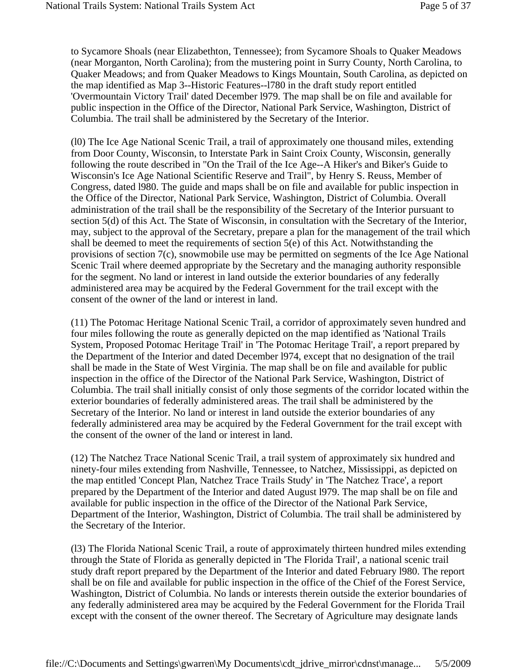to Sycamore Shoals (near Elizabethton, Tennessee); from Sycamore Shoals to Quaker Meadows (near Morganton, North Carolina); from the mustering point in Surry County, North Carolina, to Quaker Meadows; and from Quaker Meadows to Kings Mountain, South Carolina, as depicted on the map identified as Map 3--Historic Features--l780 in the draft study report entitled 'Overmountain Victory Trail' dated December l979. The map shall be on file and available for public inspection in the Office of the Director, National Park Service, Washington, District of Columbia. The trail shall be administered by the Secretary of the Interior.

(l0) The Ice Age National Scenic Trail, a trail of approximately one thousand miles, extending from Door County, Wisconsin, to Interstate Park in Saint Croix County, Wisconsin, generally following the route described in "On the Trail of the Ice Age--A Hiker's and Biker's Guide to Wisconsin's Ice Age National Scientific Reserve and Trail", by Henry S. Reuss, Member of Congress, dated l980. The guide and maps shall be on file and available for public inspection in the Office of the Director, National Park Service, Washington, District of Columbia. Overall administration of the trail shall be the responsibility of the Secretary of the Interior pursuant to section 5(d) of this Act. The State of Wisconsin, in consultation with the Secretary of the Interior, may, subject to the approval of the Secretary, prepare a plan for the management of the trail which shall be deemed to meet the requirements of section  $5(e)$  of this Act. Notwithstanding the provisions of section 7(c), snowmobile use may be permitted on segments of the Ice Age National Scenic Trail where deemed appropriate by the Secretary and the managing authority responsible for the segment. No land or interest in land outside the exterior boundaries of any federally administered area may be acquired by the Federal Government for the trail except with the consent of the owner of the land or interest in land.

(11) The Potomac Heritage National Scenic Trail, a corridor of approximately seven hundred and four miles following the route as generally depicted on the map identified as 'National Trails System, Proposed Potomac Heritage Trail' in 'The Potomac Heritage Trail', a report prepared by the Department of the Interior and dated December l974, except that no designation of the trail shall be made in the State of West Virginia. The map shall be on file and available for public inspection in the office of the Director of the National Park Service, Washington, District of Columbia. The trail shall initially consist of only those segments of the corridor located within the exterior boundaries of federally administered areas. The trail shall be administered by the Secretary of the Interior. No land or interest in land outside the exterior boundaries of any federally administered area may be acquired by the Federal Government for the trail except with the consent of the owner of the land or interest in land.

(12) The Natchez Trace National Scenic Trail, a trail system of approximately six hundred and ninety-four miles extending from Nashville, Tennessee, to Natchez, Mississippi, as depicted on the map entitled 'Concept Plan, Natchez Trace Trails Study' in 'The Natchez Trace', a report prepared by the Department of the Interior and dated August l979. The map shall be on file and available for public inspection in the office of the Director of the National Park Service, Department of the Interior, Washington, District of Columbia. The trail shall be administered by the Secretary of the Interior.

(l3) The Florida National Scenic Trail, a route of approximately thirteen hundred miles extending through the State of Florida as generally depicted in 'The Florida Trail', a national scenic trail study draft report prepared by the Department of the Interior and dated February l980. The report shall be on file and available for public inspection in the office of the Chief of the Forest Service, Washington, District of Columbia. No lands or interests therein outside the exterior boundaries of any federally administered area may be acquired by the Federal Government for the Florida Trail except with the consent of the owner thereof. The Secretary of Agriculture may designate lands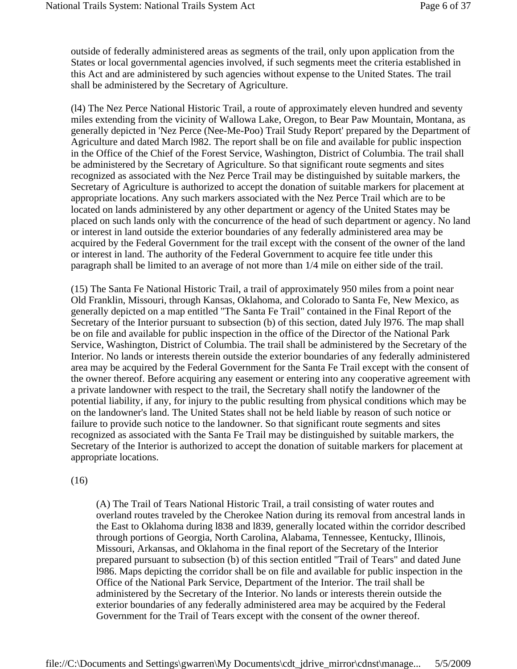outside of federally administered areas as segments of the trail, only upon application from the States or local governmental agencies involved, if such segments meet the criteria established in this Act and are administered by such agencies without expense to the United States. The trail shall be administered by the Secretary of Agriculture.

(l4) The Nez Perce National Historic Trail, a route of approximately eleven hundred and seventy miles extending from the vicinity of Wallowa Lake, Oregon, to Bear Paw Mountain, Montana, as generally depicted in 'Nez Perce (Nee-Me-Poo) Trail Study Report' prepared by the Department of Agriculture and dated March l982. The report shall be on file and available for public inspection in the Office of the Chief of the Forest Service, Washington, District of Columbia. The trail shall be administered by the Secretary of Agriculture. So that significant route segments and sites recognized as associated with the Nez Perce Trail may be distinguished by suitable markers, the Secretary of Agriculture is authorized to accept the donation of suitable markers for placement at appropriate locations. Any such markers associated with the Nez Perce Trail which are to be located on lands administered by any other department or agency of the United States may be placed on such lands only with the concurrence of the head of such department or agency. No land or interest in land outside the exterior boundaries of any federally administered area may be acquired by the Federal Government for the trail except with the consent of the owner of the land or interest in land. The authority of the Federal Government to acquire fee title under this paragraph shall be limited to an average of not more than 1/4 mile on either side of the trail.

(15) The Santa Fe National Historic Trail, a trail of approximately 950 miles from a point near Old Franklin, Missouri, through Kansas, Oklahoma, and Colorado to Santa Fe, New Mexico, as generally depicted on a map entitled "The Santa Fe Trail" contained in the Final Report of the Secretary of the Interior pursuant to subsection (b) of this section, dated July l976. The map shall be on file and available for public inspection in the office of the Director of the National Park Service, Washington, District of Columbia. The trail shall be administered by the Secretary of the Interior. No lands or interests therein outside the exterior boundaries of any federally administered area may be acquired by the Federal Government for the Santa Fe Trail except with the consent of the owner thereof. Before acquiring any easement or entering into any cooperative agreement with a private landowner with respect to the trail, the Secretary shall notify the landowner of the potential liability, if any, for injury to the public resulting from physical conditions which may be on the landowner's land. The United States shall not be held liable by reason of such notice or failure to provide such notice to the landowner. So that significant route segments and sites recognized as associated with the Santa Fe Trail may be distinguished by suitable markers, the Secretary of the Interior is authorized to accept the donation of suitable markers for placement at appropriate locations.

#### (16)

(A) The Trail of Tears National Historic Trail, a trail consisting of water routes and overland routes traveled by the Cherokee Nation during its removal from ancestral lands in the East to Oklahoma during l838 and l839, generally located within the corridor described through portions of Georgia, North Carolina, Alabama, Tennessee, Kentucky, Illinois, Missouri, Arkansas, and Oklahoma in the final report of the Secretary of the Interior prepared pursuant to subsection (b) of this section entitled "Trail of Tears" and dated June l986. Maps depicting the corridor shall be on file and available for public inspection in the Office of the National Park Service, Department of the Interior. The trail shall be administered by the Secretary of the Interior. No lands or interests therein outside the exterior boundaries of any federally administered area may be acquired by the Federal Government for the Trail of Tears except with the consent of the owner thereof.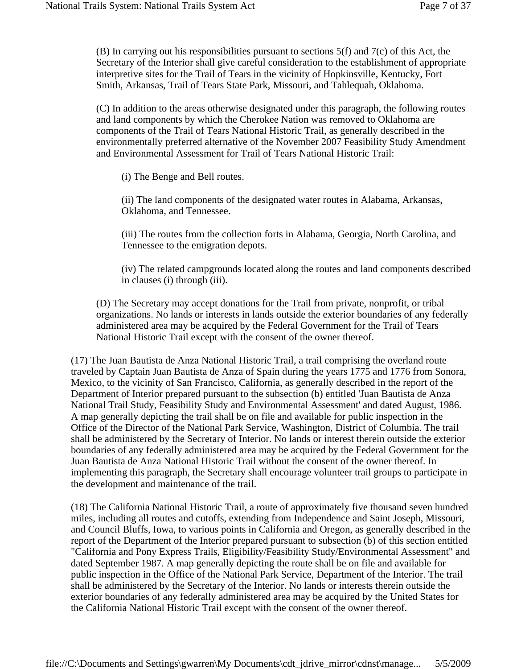(B) In carrying out his responsibilities pursuant to sections 5(f) and 7(c) of this Act, the Secretary of the Interior shall give careful consideration to the establishment of appropriate interpretive sites for the Trail of Tears in the vicinity of Hopkinsville, Kentucky, Fort Smith, Arkansas, Trail of Tears State Park, Missouri, and Tahlequah, Oklahoma.

(C) In addition to the areas otherwise designated under this paragraph, the following routes and land components by which the Cherokee Nation was removed to Oklahoma are components of the Trail of Tears National Historic Trail, as generally described in the environmentally preferred alternative of the November 2007 Feasibility Study Amendment and Environmental Assessment for Trail of Tears National Historic Trail:

(i) The Benge and Bell routes.

(ii) The land components of the designated water routes in Alabama, Arkansas, Oklahoma, and Tennessee.

(iii) The routes from the collection forts in Alabama, Georgia, North Carolina, and Tennessee to the emigration depots.

(iv) The related campgrounds located along the routes and land components described in clauses (i) through (iii).

(D) The Secretary may accept donations for the Trail from private, nonprofit, or tribal organizations. No lands or interests in lands outside the exterior boundaries of any federally administered area may be acquired by the Federal Government for the Trail of Tears National Historic Trail except with the consent of the owner thereof.

(17) The Juan Bautista de Anza National Historic Trail, a trail comprising the overland route traveled by Captain Juan Bautista de Anza of Spain during the years 1775 and 1776 from Sonora, Mexico, to the vicinity of San Francisco, California, as generally described in the report of the Department of Interior prepared pursuant to the subsection (b) entitled 'Juan Bautista de Anza National Trail Study, Feasibility Study and Environmental Assessment' and dated August, 1986. A map generally depicting the trail shall be on file and available for public inspection in the Office of the Director of the National Park Service, Washington, District of Columbia. The trail shall be administered by the Secretary of Interior. No lands or interest therein outside the exterior boundaries of any federally administered area may be acquired by the Federal Government for the Juan Bautista de Anza National Historic Trail without the consent of the owner thereof. In implementing this paragraph, the Secretary shall encourage volunteer trail groups to participate in the development and maintenance of the trail.

(18) The California National Historic Trail, a route of approximately five thousand seven hundred miles, including all routes and cutoffs, extending from Independence and Saint Joseph, Missouri, and Council Bluffs, Iowa, to various points in California and Oregon, as generally described in the report of the Department of the Interior prepared pursuant to subsection (b) of this section entitled "California and Pony Express Trails, Eligibility/Feasibility Study/Environmental Assessment" and dated September 1987. A map generally depicting the route shall be on file and available for public inspection in the Office of the National Park Service, Department of the Interior. The trail shall be administered by the Secretary of the Interior. No lands or interests therein outside the exterior boundaries of any federally administered area may be acquired by the United States for the California National Historic Trail except with the consent of the owner thereof.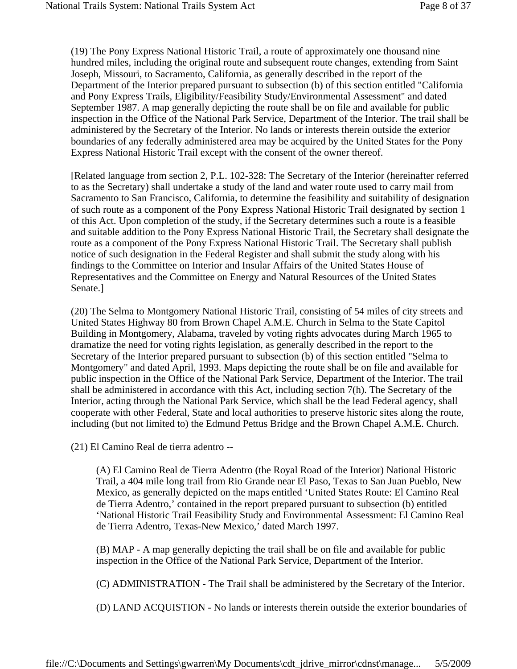(19) The Pony Express National Historic Trail, a route of approximately one thousand nine hundred miles, including the original route and subsequent route changes, extending from Saint Joseph, Missouri, to Sacramento, California, as generally described in the report of the Department of the Interior prepared pursuant to subsection (b) of this section entitled "California and Pony Express Trails, Eligibility/Feasibility Study/Environmental Assessment" and dated September 1987. A map generally depicting the route shall be on file and available for public inspection in the Office of the National Park Service, Department of the Interior. The trail shall be administered by the Secretary of the Interior. No lands or interests therein outside the exterior boundaries of any federally administered area may be acquired by the United States for the Pony Express National Historic Trail except with the consent of the owner thereof.

[Related language from section 2, P.L. 102-328: The Secretary of the Interior (hereinafter referred to as the Secretary) shall undertake a study of the land and water route used to carry mail from Sacramento to San Francisco, California, to determine the feasibility and suitability of designation of such route as a component of the Pony Express National Historic Trail designated by section 1 of this Act. Upon completion of the study, if the Secretary determines such a route is a feasible and suitable addition to the Pony Express National Historic Trail, the Secretary shall designate the route as a component of the Pony Express National Historic Trail. The Secretary shall publish notice of such designation in the Federal Register and shall submit the study along with his findings to the Committee on Interior and Insular Affairs of the United States House of Representatives and the Committee on Energy and Natural Resources of the United States Senate.]

(20) The Selma to Montgomery National Historic Trail, consisting of 54 miles of city streets and United States Highway 80 from Brown Chapel A.M.E. Church in Selma to the State Capitol Building in Montgomery, Alabama, traveled by voting rights advocates during March 1965 to dramatize the need for voting rights legislation, as generally described in the report to the Secretary of the Interior prepared pursuant to subsection (b) of this section entitled "Selma to Montgomery" and dated April, 1993. Maps depicting the route shall be on file and available for public inspection in the Office of the National Park Service, Department of the Interior. The trail shall be administered in accordance with this Act, including section 7(h). The Secretary of the Interior, acting through the National Park Service, which shall be the lead Federal agency, shall cooperate with other Federal, State and local authorities to preserve historic sites along the route, including (but not limited to) the Edmund Pettus Bridge and the Brown Chapel A.M.E. Church.

(21) El Camino Real de tierra adentro --

(A) El Camino Real de Tierra Adentro (the Royal Road of the Interior) National Historic Trail, a 404 mile long trail from Rio Grande near El Paso, Texas to San Juan Pueblo, New Mexico, as generally depicted on the maps entitled 'United States Route: El Camino Real de Tierra Adentro,' contained in the report prepared pursuant to subsection (b) entitled 'National Historic Trail Feasibility Study and Environmental Assessment: El Camino Real de Tierra Adentro, Texas-New Mexico,' dated March 1997.

(B) MAP - A map generally depicting the trail shall be on file and available for public inspection in the Office of the National Park Service, Department of the Interior.

(C) ADMINISTRATION - The Trail shall be administered by the Secretary of the Interior.

(D) LAND ACQUISTION - No lands or interests therein outside the exterior boundaries of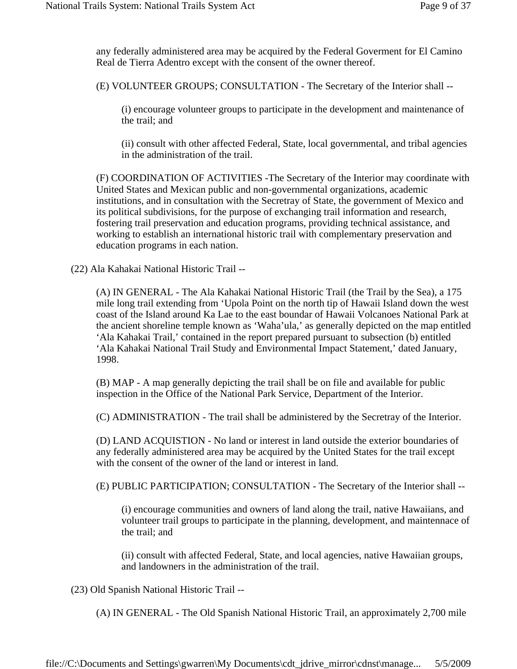any federally administered area may be acquired by the Federal Goverment for El Camino Real de Tierra Adentro except with the consent of the owner thereof.

(E) VOLUNTEER GROUPS; CONSULTATION - The Secretary of the Interior shall --

(i) encourage volunteer groups to participate in the development and maintenance of the trail; and

(ii) consult with other affected Federal, State, local governmental, and tribal agencies in the administration of the trail.

(F) COORDINATION OF ACTIVITIES -The Secretary of the Interior may coordinate with United States and Mexican public and non-governmental organizations, academic institutions, and in consultation with the Secretray of State, the government of Mexico and its political subdivisions, for the purpose of exchanging trail information and research, fostering trail preservation and education programs, providing technical assistance, and working to establish an international historic trail with complementary preservation and education programs in each nation.

(22) Ala Kahakai National Historic Trail --

(A) IN GENERAL - The Ala Kahakai National Historic Trail (the Trail by the Sea), a 175 mile long trail extending from 'Upola Point on the north tip of Hawaii Island down the west coast of the Island around Ka Lae to the east boundar of Hawaii Volcanoes National Park at the ancient shoreline temple known as 'Waha'ula,' as generally depicted on the map entitled 'Ala Kahakai Trail,' contained in the report prepared pursuant to subsection (b) entitled 'Ala Kahakai National Trail Study and Environmental Impact Statement,' dated January, 1998.

(B) MAP - A map generally depicting the trail shall be on file and available for public inspection in the Office of the National Park Service, Department of the Interior.

(C) ADMINISTRATION - The trail shall be administered by the Secretray of the Interior.

(D) LAND ACQUISTION - No land or interest in land outside the exterior boundaries of any federally administered area may be acquired by the United States for the trail except with the consent of the owner of the land or interest in land.

(E) PUBLIC PARTICIPATION; CONSULTATION - The Secretary of the Interior shall --

(i) encourage communities and owners of land along the trail, native Hawaiians, and volunteer trail groups to participate in the planning, development, and maintennace of the trail; and

(ii) consult with affected Federal, State, and local agencies, native Hawaiian groups, and landowners in the administration of the trail.

(23) Old Spanish National Historic Trail --

(A) IN GENERAL - The Old Spanish National Historic Trail, an approximately 2,700 mile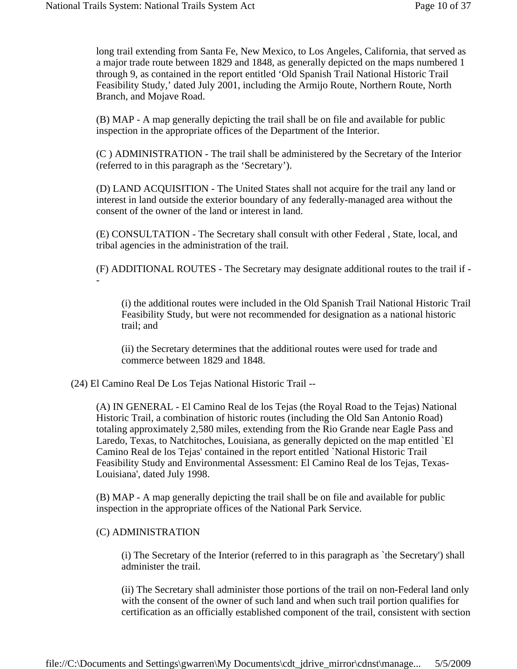long trail extending from Santa Fe, New Mexico, to Los Angeles, California, that served as a major trade route between 1829 and 1848, as generally depicted on the maps numbered 1 through 9, as contained in the report entitled 'Old Spanish Trail National Historic Trail Feasibility Study,' dated July 2001, including the Armijo Route, Northern Route, North Branch, and Mojave Road.

(B) MAP - A map generally depicting the trail shall be on file and available for public inspection in the appropriate offices of the Department of the Interior.

(C ) ADMINISTRATION - The trail shall be administered by the Secretary of the Interior (referred to in this paragraph as the 'Secretary').

(D) LAND ACQUISITION - The United States shall not acquire for the trail any land or interest in land outside the exterior boundary of any federally-managed area without the consent of the owner of the land or interest in land.

(E) CONSULTATION - The Secretary shall consult with other Federal , State, local, and tribal agencies in the administration of the trail.

(F) ADDITIONAL ROUTES - The Secretary may designate additional routes to the trail if - -

(i) the additional routes were included in the Old Spanish Trail National Historic Trail Feasibility Study, but were not recommended for designation as a national historic trail; and

(ii) the Secretary determines that the additional routes were used for trade and commerce between 1829 and 1848.

(24) El Camino Real De Los Tejas National Historic Trail --

(A) IN GENERAL - El Camino Real de los Tejas (the Royal Road to the Tejas) National Historic Trail, a combination of historic routes (including the Old San Antonio Road) totaling approximately 2,580 miles, extending from the Rio Grande near Eagle Pass and Laredo, Texas, to Natchitoches, Louisiana, as generally depicted on the map entitled `El Camino Real de los Tejas' contained in the report entitled `National Historic Trail Feasibility Study and Environmental Assessment: El Camino Real de los Tejas, Texas-Louisiana', dated July 1998.

(B) MAP - A map generally depicting the trail shall be on file and available for public inspection in the appropriate offices of the National Park Service.

### (C) ADMINISTRATION

(i) The Secretary of the Interior (referred to in this paragraph as `the Secretary') shall administer the trail.

(ii) The Secretary shall administer those portions of the trail on non-Federal land only with the consent of the owner of such land and when such trail portion qualifies for certification as an officially established component of the trail, consistent with section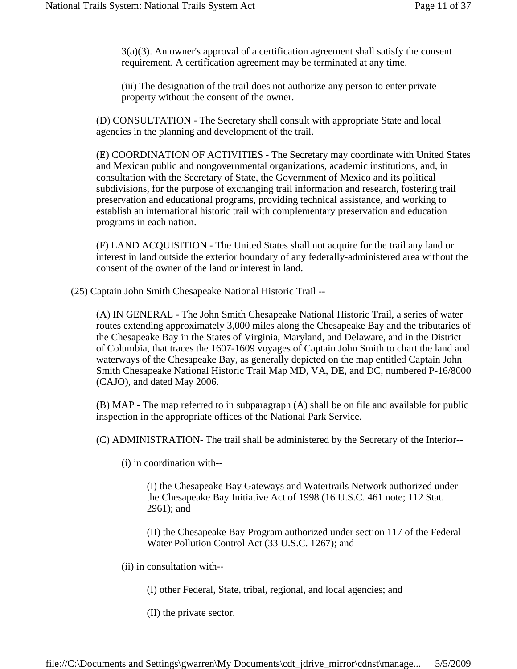$3(a)(3)$ . An owner's approval of a certification agreement shall satisfy the consent requirement. A certification agreement may be terminated at any time.

(iii) The designation of the trail does not authorize any person to enter private property without the consent of the owner.

(D) CONSULTATION - The Secretary shall consult with appropriate State and local agencies in the planning and development of the trail.

(E) COORDINATION OF ACTIVITIES - The Secretary may coordinate with United States and Mexican public and nongovernmental organizations, academic institutions, and, in consultation with the Secretary of State, the Government of Mexico and its political subdivisions, for the purpose of exchanging trail information and research, fostering trail preservation and educational programs, providing technical assistance, and working to establish an international historic trail with complementary preservation and education programs in each nation.

(F) LAND ACQUISITION - The United States shall not acquire for the trail any land or interest in land outside the exterior boundary of any federally-administered area without the consent of the owner of the land or interest in land.

(25) Captain John Smith Chesapeake National Historic Trail --

(A) IN GENERAL - The John Smith Chesapeake National Historic Trail, a series of water routes extending approximately 3,000 miles along the Chesapeake Bay and the tributaries of the Chesapeake Bay in the States of Virginia, Maryland, and Delaware, and in the District of Columbia, that traces the 1607-1609 voyages of Captain John Smith to chart the land and waterways of the Chesapeake Bay, as generally depicted on the map entitled Captain John Smith Chesapeake National Historic Trail Map MD, VA, DE, and DC, numbered P-16/8000 (CAJO), and dated May 2006.

(B) MAP - The map referred to in subparagraph (A) shall be on file and available for public inspection in the appropriate offices of the National Park Service.

(C) ADMINISTRATION- The trail shall be administered by the Secretary of the Interior--

(i) in coordination with--

(I) the Chesapeake Bay Gateways and Watertrails Network authorized under the Chesapeake Bay Initiative Act of 1998 (16 U.S.C. 461 note; 112 Stat. 2961); and

(II) the Chesapeake Bay Program authorized under section 117 of the Federal Water Pollution Control Act (33 U.S.C. 1267); and

(ii) in consultation with--

(I) other Federal, State, tribal, regional, and local agencies; and

(II) the private sector.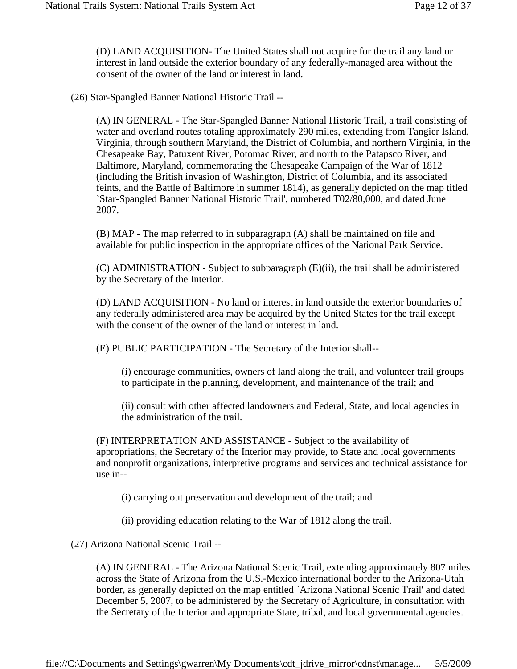(D) LAND ACQUISITION- The United States shall not acquire for the trail any land or interest in land outside the exterior boundary of any federally-managed area without the consent of the owner of the land or interest in land.

(26) Star-Spangled Banner National Historic Trail --

(A) IN GENERAL - The Star-Spangled Banner National Historic Trail, a trail consisting of water and overland routes totaling approximately 290 miles, extending from Tangier Island, Virginia, through southern Maryland, the District of Columbia, and northern Virginia, in the Chesapeake Bay, Patuxent River, Potomac River, and north to the Patapsco River, and Baltimore, Maryland, commemorating the Chesapeake Campaign of the War of 1812 (including the British invasion of Washington, District of Columbia, and its associated feints, and the Battle of Baltimore in summer 1814), as generally depicted on the map titled `Star-Spangled Banner National Historic Trail', numbered T02/80,000, and dated June 2007.

(B) MAP - The map referred to in subparagraph (A) shall be maintained on file and available for public inspection in the appropriate offices of the National Park Service.

(C) ADMINISTRATION - Subject to subparagraph (E)(ii), the trail shall be administered by the Secretary of the Interior.

(D) LAND ACQUISITION - No land or interest in land outside the exterior boundaries of any federally administered area may be acquired by the United States for the trail except with the consent of the owner of the land or interest in land.

(E) PUBLIC PARTICIPATION - The Secretary of the Interior shall--

(i) encourage communities, owners of land along the trail, and volunteer trail groups to participate in the planning, development, and maintenance of the trail; and

(ii) consult with other affected landowners and Federal, State, and local agencies in the administration of the trail.

(F) INTERPRETATION AND ASSISTANCE - Subject to the availability of appropriations, the Secretary of the Interior may provide, to State and local governments and nonprofit organizations, interpretive programs and services and technical assistance for use in--

(i) carrying out preservation and development of the trail; and

(ii) providing education relating to the War of 1812 along the trail.

(27) Arizona National Scenic Trail --

(A) IN GENERAL - The Arizona National Scenic Trail, extending approximately 807 miles across the State of Arizona from the U.S.-Mexico international border to the Arizona-Utah border, as generally depicted on the map entitled `Arizona National Scenic Trail' and dated December 5, 2007, to be administered by the Secretary of Agriculture, in consultation with the Secretary of the Interior and appropriate State, tribal, and local governmental agencies.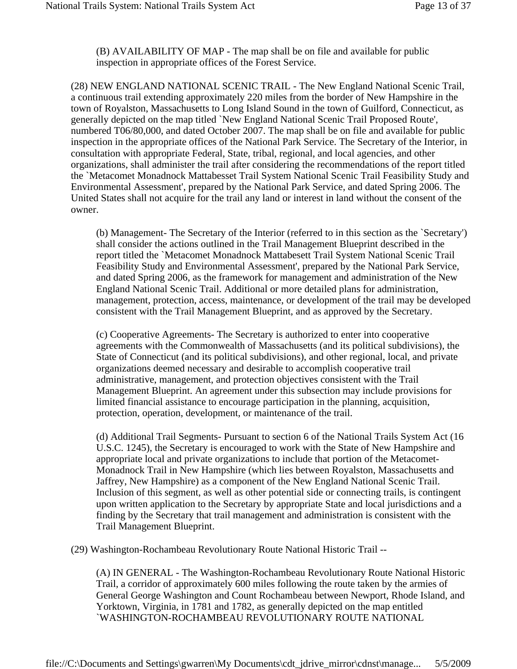(B) AVAILABILITY OF MAP - The map shall be on file and available for public inspection in appropriate offices of the Forest Service.

(28) NEW ENGLAND NATIONAL SCENIC TRAIL - The New England National Scenic Trail, a continuous trail extending approximately 220 miles from the border of New Hampshire in the town of Royalston, Massachusetts to Long Island Sound in the town of Guilford, Connecticut, as generally depicted on the map titled `New England National Scenic Trail Proposed Route', numbered T06/80,000, and dated October 2007. The map shall be on file and available for public inspection in the appropriate offices of the National Park Service. The Secretary of the Interior, in consultation with appropriate Federal, State, tribal, regional, and local agencies, and other organizations, shall administer the trail after considering the recommendations of the report titled the `Metacomet Monadnock Mattabesset Trail System National Scenic Trail Feasibility Study and Environmental Assessment', prepared by the National Park Service, and dated Spring 2006. The United States shall not acquire for the trail any land or interest in land without the consent of the owner.

(b) Management- The Secretary of the Interior (referred to in this section as the `Secretary') shall consider the actions outlined in the Trail Management Blueprint described in the report titled the `Metacomet Monadnock Mattabesett Trail System National Scenic Trail Feasibility Study and Environmental Assessment', prepared by the National Park Service, and dated Spring 2006, as the framework for management and administration of the New England National Scenic Trail. Additional or more detailed plans for administration, management, protection, access, maintenance, or development of the trail may be developed consistent with the Trail Management Blueprint, and as approved by the Secretary.

(c) Cooperative Agreements- The Secretary is authorized to enter into cooperative agreements with the Commonwealth of Massachusetts (and its political subdivisions), the State of Connecticut (and its political subdivisions), and other regional, local, and private organizations deemed necessary and desirable to accomplish cooperative trail administrative, management, and protection objectives consistent with the Trail Management Blueprint. An agreement under this subsection may include provisions for limited financial assistance to encourage participation in the planning, acquisition, protection, operation, development, or maintenance of the trail.

(d) Additional Trail Segments- Pursuant to section 6 of the National Trails System Act (16 U.S.C. 1245), the Secretary is encouraged to work with the State of New Hampshire and appropriate local and private organizations to include that portion of the Metacomet-Monadnock Trail in New Hampshire (which lies between Royalston, Massachusetts and Jaffrey, New Hampshire) as a component of the New England National Scenic Trail. Inclusion of this segment, as well as other potential side or connecting trails, is contingent upon written application to the Secretary by appropriate State and local jurisdictions and a finding by the Secretary that trail management and administration is consistent with the Trail Management Blueprint.

(29) Washington-Rochambeau Revolutionary Route National Historic Trail --

(A) IN GENERAL - The Washington-Rochambeau Revolutionary Route National Historic Trail, a corridor of approximately 600 miles following the route taken by the armies of General George Washington and Count Rochambeau between Newport, Rhode Island, and Yorktown, Virginia, in 1781 and 1782, as generally depicted on the map entitled `WASHINGTON-ROCHAMBEAU REVOLUTIONARY ROUTE NATIONAL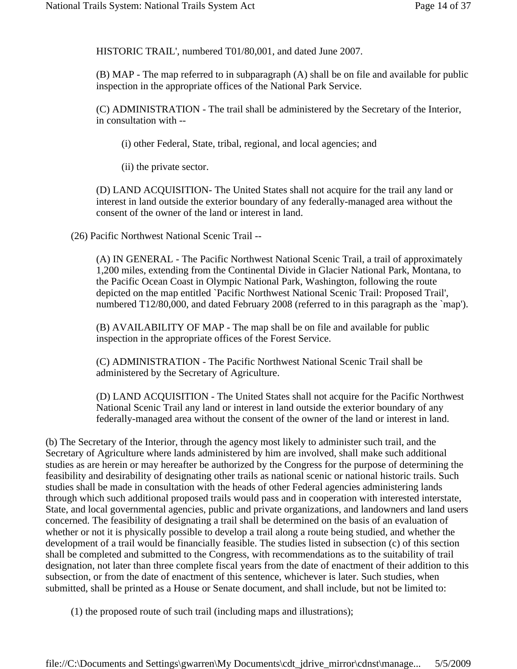HISTORIC TRAIL', numbered T01/80,001, and dated June 2007.

(B) MAP - The map referred to in subparagraph (A) shall be on file and available for public inspection in the appropriate offices of the National Park Service.

(C) ADMINISTRATION - The trail shall be administered by the Secretary of the Interior, in consultation with --

(i) other Federal, State, tribal, regional, and local agencies; and

(ii) the private sector.

(D) LAND ACQUISITION- The United States shall not acquire for the trail any land or interest in land outside the exterior boundary of any federally-managed area without the consent of the owner of the land or interest in land.

(26) Pacific Northwest National Scenic Trail --

(A) IN GENERAL - The Pacific Northwest National Scenic Trail, a trail of approximately 1,200 miles, extending from the Continental Divide in Glacier National Park, Montana, to the Pacific Ocean Coast in Olympic National Park, Washington, following the route depicted on the map entitled `Pacific Northwest National Scenic Trail: Proposed Trail', numbered T12/80,000, and dated February 2008 (referred to in this paragraph as the `map').

(B) AVAILABILITY OF MAP - The map shall be on file and available for public inspection in the appropriate offices of the Forest Service.

(C) ADMINISTRATION - The Pacific Northwest National Scenic Trail shall be administered by the Secretary of Agriculture.

(D) LAND ACQUISITION - The United States shall not acquire for the Pacific Northwest National Scenic Trail any land or interest in land outside the exterior boundary of any federally-managed area without the consent of the owner of the land or interest in land.

(b) The Secretary of the Interior, through the agency most likely to administer such trail, and the Secretary of Agriculture where lands administered by him are involved, shall make such additional studies as are herein or may hereafter be authorized by the Congress for the purpose of determining the feasibility and desirability of designating other trails as national scenic or national historic trails. Such studies shall be made in consultation with the heads of other Federal agencies administering lands through which such additional proposed trails would pass and in cooperation with interested interstate, State, and local governmental agencies, public and private organizations, and landowners and land users concerned. The feasibility of designating a trail shall be determined on the basis of an evaluation of whether or not it is physically possible to develop a trail along a route being studied, and whether the development of a trail would be financially feasible. The studies listed in subsection (c) of this section shall be completed and submitted to the Congress, with recommendations as to the suitability of trail designation, not later than three complete fiscal years from the date of enactment of their addition to this subsection, or from the date of enactment of this sentence, whichever is later. Such studies, when submitted, shall be printed as a House or Senate document, and shall include, but not be limited to:

(1) the proposed route of such trail (including maps and illustrations);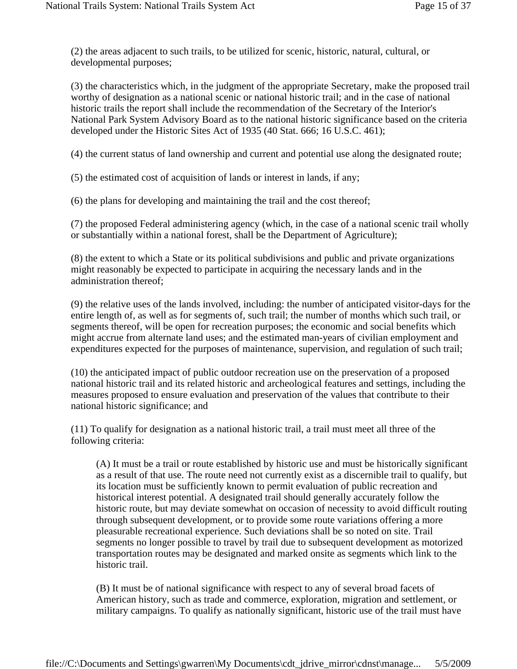(2) the areas adjacent to such trails, to be utilized for scenic, historic, natural, cultural, or developmental purposes;

(3) the characteristics which, in the judgment of the appropriate Secretary, make the proposed trail worthy of designation as a national scenic or national historic trail; and in the case of national historic trails the report shall include the recommendation of the Secretary of the Interior's National Park System Advisory Board as to the national historic significance based on the criteria developed under the Historic Sites Act of 1935 (40 Stat. 666; 16 U.S.C. 461);

(4) the current status of land ownership and current and potential use along the designated route;

(5) the estimated cost of acquisition of lands or interest in lands, if any;

(6) the plans for developing and maintaining the trail and the cost thereof;

(7) the proposed Federal administering agency (which, in the case of a national scenic trail wholly or substantially within a national forest, shall be the Department of Agriculture);

(8) the extent to which a State or its political subdivisions and public and private organizations might reasonably be expected to participate in acquiring the necessary lands and in the administration thereof;

(9) the relative uses of the lands involved, including: the number of anticipated visitor-days for the entire length of, as well as for segments of, such trail; the number of months which such trail, or segments thereof, will be open for recreation purposes; the economic and social benefits which might accrue from alternate land uses; and the estimated man-years of civilian employment and expenditures expected for the purposes of maintenance, supervision, and regulation of such trail;

(10) the anticipated impact of public outdoor recreation use on the preservation of a proposed national historic trail and its related historic and archeological features and settings, including the measures proposed to ensure evaluation and preservation of the values that contribute to their national historic significance; and

(11) To qualify for designation as a national historic trail, a trail must meet all three of the following criteria:

(A) It must be a trail or route established by historic use and must be historically significant as a result of that use. The route need not currently exist as a discernible trail to qualify, but its location must be sufficiently known to permit evaluation of public recreation and historical interest potential. A designated trail should generally accurately follow the historic route, but may deviate somewhat on occasion of necessity to avoid difficult routing through subsequent development, or to provide some route variations offering a more pleasurable recreational experience. Such deviations shall be so noted on site. Trail segments no longer possible to travel by trail due to subsequent development as motorized transportation routes may be designated and marked onsite as segments which link to the historic trail.

(B) It must be of national significance with respect to any of several broad facets of American history, such as trade and commerce, exploration, migration and settlement, or military campaigns. To qualify as nationally significant, historic use of the trail must have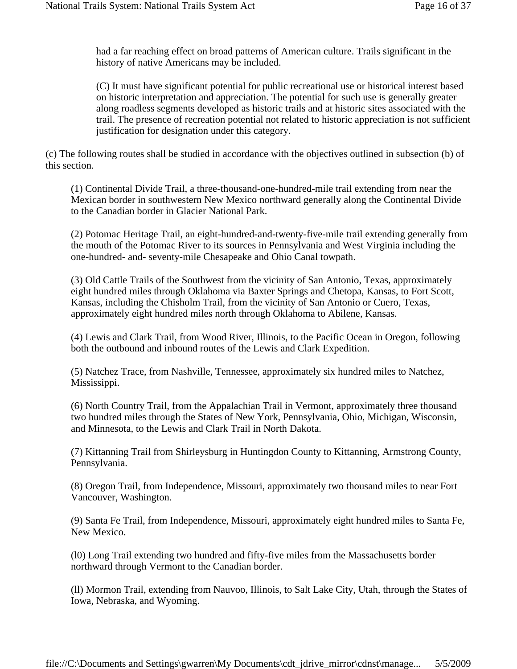had a far reaching effect on broad patterns of American culture. Trails significant in the history of native Americans may be included.

(C) It must have significant potential for public recreational use or historical interest based on historic interpretation and appreciation. The potential for such use is generally greater along roadless segments developed as historic trails and at historic sites associated with the trail. The presence of recreation potential not related to historic appreciation is not sufficient justification for designation under this category.

(c) The following routes shall be studied in accordance with the objectives outlined in subsection (b) of this section.

(1) Continental Divide Trail, a three-thousand-one-hundred-mile trail extending from near the Mexican border in southwestern New Mexico northward generally along the Continental Divide to the Canadian border in Glacier National Park.

(2) Potomac Heritage Trail, an eight-hundred-and-twenty-five-mile trail extending generally from the mouth of the Potomac River to its sources in Pennsylvania and West Virginia including the one-hundred- and- seventy-mile Chesapeake and Ohio Canal towpath.

(3) Old Cattle Trails of the Southwest from the vicinity of San Antonio, Texas, approximately eight hundred miles through Oklahoma via Baxter Springs and Chetopa, Kansas, to Fort Scott, Kansas, including the Chisholm Trail, from the vicinity of San Antonio or Cuero, Texas, approximately eight hundred miles north through Oklahoma to Abilene, Kansas.

(4) Lewis and Clark Trail, from Wood River, Illinois, to the Pacific Ocean in Oregon, following both the outbound and inbound routes of the Lewis and Clark Expedition.

(5) Natchez Trace, from Nashville, Tennessee, approximately six hundred miles to Natchez, Mississippi.

(6) North Country Trail, from the Appalachian Trail in Vermont, approximately three thousand two hundred miles through the States of New York, Pennsylvania, Ohio, Michigan, Wisconsin, and Minnesota, to the Lewis and Clark Trail in North Dakota.

(7) Kittanning Trail from Shirleysburg in Huntingdon County to Kittanning, Armstrong County, Pennsylvania.

(8) Oregon Trail, from Independence, Missouri, approximately two thousand miles to near Fort Vancouver, Washington.

(9) Santa Fe Trail, from Independence, Missouri, approximately eight hundred miles to Santa Fe, New Mexico.

(l0) Long Trail extending two hundred and fifty-five miles from the Massachusetts border northward through Vermont to the Canadian border.

(ll) Mormon Trail, extending from Nauvoo, Illinois, to Salt Lake City, Utah, through the States of Iowa, Nebraska, and Wyoming.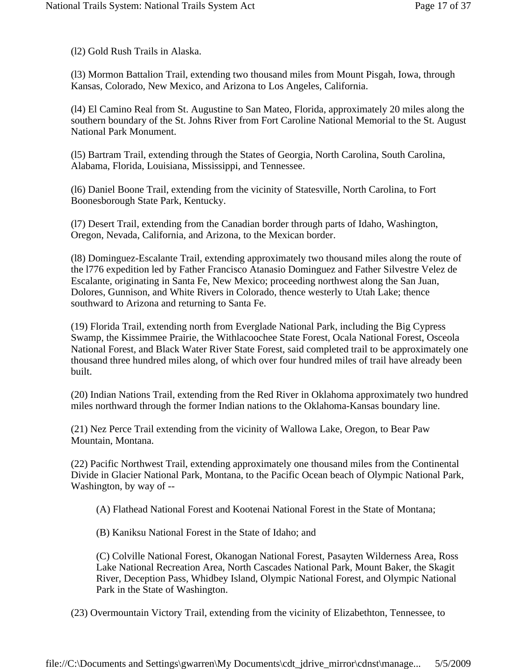(l2) Gold Rush Trails in Alaska.

(l3) Mormon Battalion Trail, extending two thousand miles from Mount Pisgah, Iowa, through Kansas, Colorado, New Mexico, and Arizona to Los Angeles, California.

(l4) El Camino Real from St. Augustine to San Mateo, Florida, approximately 20 miles along the southern boundary of the St. Johns River from Fort Caroline National Memorial to the St. August National Park Monument.

(l5) Bartram Trail, extending through the States of Georgia, North Carolina, South Carolina, Alabama, Florida, Louisiana, Mississippi, and Tennessee.

(l6) Daniel Boone Trail, extending from the vicinity of Statesville, North Carolina, to Fort Boonesborough State Park, Kentucky.

(l7) Desert Trail, extending from the Canadian border through parts of Idaho, Washington, Oregon, Nevada, California, and Arizona, to the Mexican border.

(l8) Dominguez-Escalante Trail, extending approximately two thousand miles along the route of the l776 expedition led by Father Francisco Atanasio Dominguez and Father Silvestre Velez de Escalante, originating in Santa Fe, New Mexico; proceeding northwest along the San Juan, Dolores, Gunnison, and White Rivers in Colorado, thence westerly to Utah Lake; thence southward to Arizona and returning to Santa Fe.

(19) Florida Trail, extending north from Everglade National Park, including the Big Cypress Swamp, the Kissimmee Prairie, the Withlacoochee State Forest, Ocala National Forest, Osceola National Forest, and Black Water River State Forest, said completed trail to be approximately one thousand three hundred miles along, of which over four hundred miles of trail have already been built.

(20) Indian Nations Trail, extending from the Red River in Oklahoma approximately two hundred miles northward through the former Indian nations to the Oklahoma-Kansas boundary line.

(21) Nez Perce Trail extending from the vicinity of Wallowa Lake, Oregon, to Bear Paw Mountain, Montana.

(22) Pacific Northwest Trail, extending approximately one thousand miles from the Continental Divide in Glacier National Park, Montana, to the Pacific Ocean beach of Olympic National Park, Washington, by way of --

- (A) Flathead National Forest and Kootenai National Forest in the State of Montana;
- (B) Kaniksu National Forest in the State of Idaho; and

(C) Colville National Forest, Okanogan National Forest, Pasayten Wilderness Area, Ross Lake National Recreation Area, North Cascades National Park, Mount Baker, the Skagit River, Deception Pass, Whidbey Island, Olympic National Forest, and Olympic National Park in the State of Washington.

(23) Overmountain Victory Trail, extending from the vicinity of Elizabethton, Tennessee, to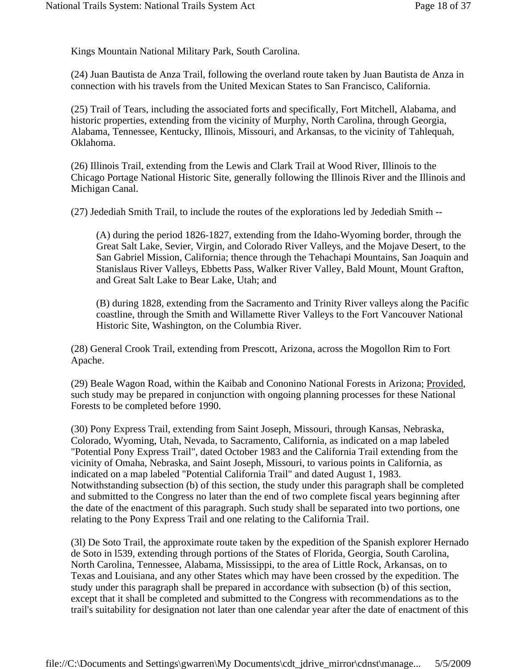Kings Mountain National Military Park, South Carolina.

(24) Juan Bautista de Anza Trail, following the overland route taken by Juan Bautista de Anza in connection with his travels from the United Mexican States to San Francisco, California.

(25) Trail of Tears, including the associated forts and specifically, Fort Mitchell, Alabama, and historic properties, extending from the vicinity of Murphy, North Carolina, through Georgia, Alabama, Tennessee, Kentucky, Illinois, Missouri, and Arkansas, to the vicinity of Tahlequah, Oklahoma.

(26) Illinois Trail, extending from the Lewis and Clark Trail at Wood River, Illinois to the Chicago Portage National Historic Site, generally following the Illinois River and the Illinois and Michigan Canal.

(27) Jedediah Smith Trail, to include the routes of the explorations led by Jedediah Smith --

(A) during the period 1826-1827, extending from the Idaho-Wyoming border, through the Great Salt Lake, Sevier, Virgin, and Colorado River Valleys, and the Mojave Desert, to the San Gabriel Mission, California; thence through the Tehachapi Mountains, San Joaquin and Stanislaus River Valleys, Ebbetts Pass, Walker River Valley, Bald Mount, Mount Grafton, and Great Salt Lake to Bear Lake, Utah; and

(B) during 1828, extending from the Sacramento and Trinity River valleys along the Pacific coastline, through the Smith and Willamette River Valleys to the Fort Vancouver National Historic Site, Washington, on the Columbia River.

(28) General Crook Trail, extending from Prescott, Arizona, across the Mogollon Rim to Fort Apache.

(29) Beale Wagon Road, within the Kaibab and Cononino National Forests in Arizona; Provided, such study may be prepared in conjunction with ongoing planning processes for these National Forests to be completed before 1990.

(30) Pony Express Trail, extending from Saint Joseph, Missouri, through Kansas, Nebraska, Colorado, Wyoming, Utah, Nevada, to Sacramento, California, as indicated on a map labeled "Potential Pony Express Trail", dated October 1983 and the California Trail extending from the vicinity of Omaha, Nebraska, and Saint Joseph, Missouri, to various points in California, as indicated on a map labeled "Potential California Trail" and dated August 1, 1983. Notwithstanding subsection (b) of this section, the study under this paragraph shall be completed and submitted to the Congress no later than the end of two complete fiscal years beginning after the date of the enactment of this paragraph. Such study shall be separated into two portions, one relating to the Pony Express Trail and one relating to the California Trail.

(3l) De Soto Trail, the approximate route taken by the expedition of the Spanish explorer Hernado de Soto in l539, extending through portions of the States of Florida, Georgia, South Carolina, North Carolina, Tennessee, Alabama, Mississippi, to the area of Little Rock, Arkansas, on to Texas and Louisiana, and any other States which may have been crossed by the expedition. The study under this paragraph shall be prepared in accordance with subsection (b) of this section, except that it shall be completed and submitted to the Congress with recommendations as to the trail's suitability for designation not later than one calendar year after the date of enactment of this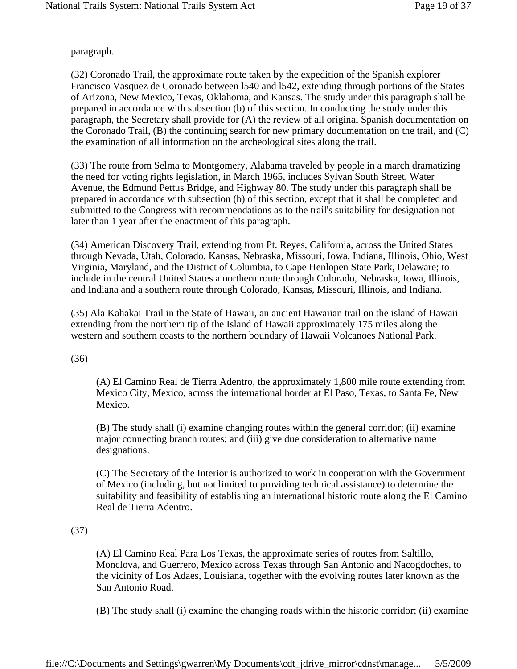paragraph.

(32) Coronado Trail, the approximate route taken by the expedition of the Spanish explorer Francisco Vasquez de Coronado between l540 and l542, extending through portions of the States of Arizona, New Mexico, Texas, Oklahoma, and Kansas. The study under this paragraph shall be prepared in accordance with subsection (b) of this section. In conducting the study under this paragraph, the Secretary shall provide for (A) the review of all original Spanish documentation on the Coronado Trail, (B) the continuing search for new primary documentation on the trail, and (C) the examination of all information on the archeological sites along the trail.

(33) The route from Selma to Montgomery, Alabama traveled by people in a march dramatizing the need for voting rights legislation, in March 1965, includes Sylvan South Street, Water Avenue, the Edmund Pettus Bridge, and Highway 80. The study under this paragraph shall be prepared in accordance with subsection (b) of this section, except that it shall be completed and submitted to the Congress with recommendations as to the trail's suitability for designation not later than 1 year after the enactment of this paragraph.

(34) American Discovery Trail, extending from Pt. Reyes, California, across the United States through Nevada, Utah, Colorado, Kansas, Nebraska, Missouri, Iowa, Indiana, Illinois, Ohio, West Virginia, Maryland, and the District of Columbia, to Cape Henlopen State Park, Delaware; to include in the central United States a northern route through Colorado, Nebraska, Iowa, Illinois, and Indiana and a southern route through Colorado, Kansas, Missouri, Illinois, and Indiana.

(35) Ala Kahakai Trail in the State of Hawaii, an ancient Hawaiian trail on the island of Hawaii extending from the northern tip of the Island of Hawaii approximately 175 miles along the western and southern coasts to the northern boundary of Hawaii Volcanoes National Park.

(36)

(A) El Camino Real de Tierra Adentro, the approximately 1,800 mile route extending from Mexico City, Mexico, across the international border at El Paso, Texas, to Santa Fe, New Mexico.

(B) The study shall (i) examine changing routes within the general corridor; (ii) examine major connecting branch routes; and (iii) give due consideration to alternative name designations.

(C) The Secretary of the Interior is authorized to work in cooperation with the Government of Mexico (including, but not limited to providing technical assistance) to determine the suitability and feasibility of establishing an international historic route along the El Camino Real de Tierra Adentro.

### (37)

(A) El Camino Real Para Los Texas, the approximate series of routes from Saltillo, Monclova, and Guerrero, Mexico across Texas through San Antonio and Nacogdoches, to the vicinity of Los Adaes, Louisiana, together with the evolving routes later known as the San Antonio Road.

(B) The study shall (i) examine the changing roads within the historic corridor; (ii) examine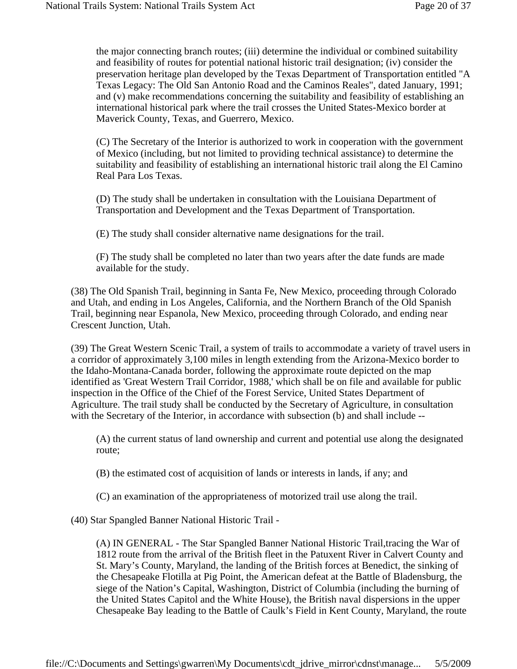the major connecting branch routes; (iii) determine the individual or combined suitability and feasibility of routes for potential national historic trail designation; (iv) consider the preservation heritage plan developed by the Texas Department of Transportation entitled "A Texas Legacy: The Old San Antonio Road and the Caminos Reales", dated January, 1991; and (v) make recommendations concerning the suitability and feasibility of establishing an international historical park where the trail crosses the United States-Mexico border at Maverick County, Texas, and Guerrero, Mexico.

(C) The Secretary of the Interior is authorized to work in cooperation with the government of Mexico (including, but not limited to providing technical assistance) to determine the suitability and feasibility of establishing an international historic trail along the El Camino Real Para Los Texas.

(D) The study shall be undertaken in consultation with the Louisiana Department of Transportation and Development and the Texas Department of Transportation.

(E) The study shall consider alternative name designations for the trail.

(F) The study shall be completed no later than two years after the date funds are made available for the study.

(38) The Old Spanish Trail, beginning in Santa Fe, New Mexico, proceeding through Colorado and Utah, and ending in Los Angeles, California, and the Northern Branch of the Old Spanish Trail, beginning near Espanola, New Mexico, proceeding through Colorado, and ending near Crescent Junction, Utah.

(39) The Great Western Scenic Trail, a system of trails to accommodate a variety of travel users in a corridor of approximately 3,100 miles in length extending from the Arizona-Mexico border to the Idaho-Montana-Canada border, following the approximate route depicted on the map identified as 'Great Western Trail Corridor, 1988,' which shall be on file and available for public inspection in the Office of the Chief of the Forest Service, United States Department of Agriculture. The trail study shall be conducted by the Secretary of Agriculture, in consultation with the Secretary of the Interior, in accordance with subsection (b) and shall include --

(A) the current status of land ownership and current and potential use along the designated route;

(B) the estimated cost of acquisition of lands or interests in lands, if any; and

(C) an examination of the appropriateness of motorized trail use along the trail.

(40) Star Spangled Banner National Historic Trail -

(A) IN GENERAL - The Star Spangled Banner National Historic Trail,tracing the War of 1812 route from the arrival of the British fleet in the Patuxent River in Calvert County and St. Mary's County, Maryland, the landing of the British forces at Benedict, the sinking of the Chesapeake Flotilla at Pig Point, the American defeat at the Battle of Bladensburg, the siege of the Nation's Capital, Washington, District of Columbia (including the burning of the United States Capitol and the White House), the British naval dispersions in the upper Chesapeake Bay leading to the Battle of Caulk's Field in Kent County, Maryland, the route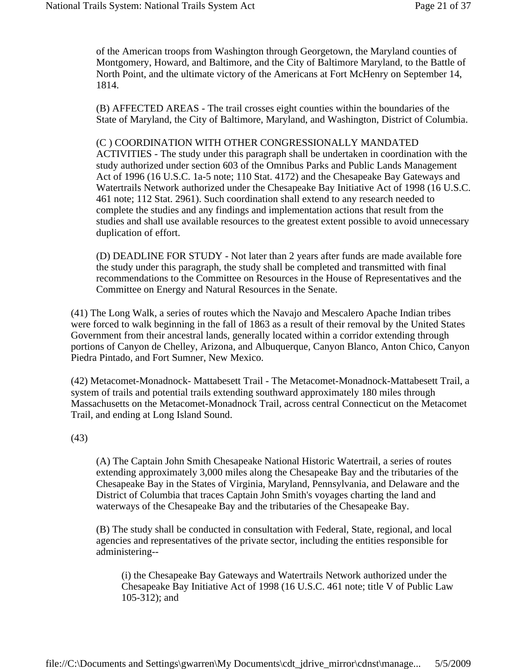of the American troops from Washington through Georgetown, the Maryland counties of Montgomery, Howard, and Baltimore, and the City of Baltimore Maryland, to the Battle of North Point, and the ultimate victory of the Americans at Fort McHenry on September 14, 1814.

(B) AFFECTED AREAS - The trail crosses eight counties within the boundaries of the State of Maryland, the City of Baltimore, Maryland, and Washington, District of Columbia.

### (C ) COORDINATION WITH OTHER CONGRESSIONALLY MANDATED ACTIVITIES - The study under this paragraph shall be undertaken in coordination with the study authorized under section 603 of the Omnibus Parks and Public Lands Management Act of 1996 (16 U.S.C. 1a-5 note; 110 Stat. 4172) and the Chesapeake Bay Gateways and Watertrails Network authorized under the Chesapeake Bay Initiative Act of 1998 (16 U.S.C. 461 note; 112 Stat. 2961). Such coordination shall extend to any research needed to complete the studies and any findings and implementation actions that result from the studies and shall use available resources to the greatest extent possible to avoid unnecessary duplication of effort.

(D) DEADLINE FOR STUDY - Not later than 2 years after funds are made available fore the study under this paragraph, the study shall be completed and transmitted with final recommendations to the Committee on Resources in the House of Representatives and the Committee on Energy and Natural Resources in the Senate.

(41) The Long Walk, a series of routes which the Navajo and Mescalero Apache Indian tribes were forced to walk beginning in the fall of 1863 as a result of their removal by the United States Government from their ancestral lands, generally located within a corridor extending through portions of Canyon de Chelley, Arizona, and Albuquerque, Canyon Blanco, Anton Chico, Canyon Piedra Pintado, and Fort Sumner, New Mexico.

(42) Metacomet-Monadnock- Mattabesett Trail - The Metacomet-Monadnock-Mattabesett Trail, a system of trails and potential trails extending southward approximately 180 miles through Massachusetts on the Metacomet-Monadnock Trail, across central Connecticut on the Metacomet Trail, and ending at Long Island Sound.

### (43)

(A) The Captain John Smith Chesapeake National Historic Watertrail, a series of routes extending approximately 3,000 miles along the Chesapeake Bay and the tributaries of the Chesapeake Bay in the States of Virginia, Maryland, Pennsylvania, and Delaware and the District of Columbia that traces Captain John Smith's voyages charting the land and waterways of the Chesapeake Bay and the tributaries of the Chesapeake Bay.

(B) The study shall be conducted in consultation with Federal, State, regional, and local agencies and representatives of the private sector, including the entities responsible for administering--

(i) the Chesapeake Bay Gateways and Watertrails Network authorized under the Chesapeake Bay Initiative Act of 1998 (16 U.S.C. 461 note; title V of Public Law 105-312); and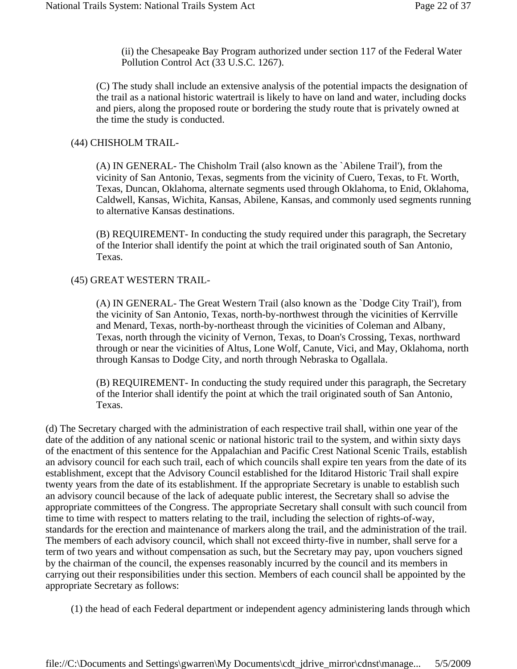(ii) the Chesapeake Bay Program authorized under section 117 of the Federal Water Pollution Control Act (33 U.S.C. 1267).

(C) The study shall include an extensive analysis of the potential impacts the designation of the trail as a national historic watertrail is likely to have on land and water, including docks and piers, along the proposed route or bordering the study route that is privately owned at the time the study is conducted.

#### (44) CHISHOLM TRAIL-

(A) IN GENERAL- The Chisholm Trail (also known as the `Abilene Trail'), from the vicinity of San Antonio, Texas, segments from the vicinity of Cuero, Texas, to Ft. Worth, Texas, Duncan, Oklahoma, alternate segments used through Oklahoma, to Enid, Oklahoma, Caldwell, Kansas, Wichita, Kansas, Abilene, Kansas, and commonly used segments running to alternative Kansas destinations.

(B) REQUIREMENT- In conducting the study required under this paragraph, the Secretary of the Interior shall identify the point at which the trail originated south of San Antonio, Texas.

### (45) GREAT WESTERN TRAIL-

(A) IN GENERAL- The Great Western Trail (also known as the `Dodge City Trail'), from the vicinity of San Antonio, Texas, north-by-northwest through the vicinities of Kerrville and Menard, Texas, north-by-northeast through the vicinities of Coleman and Albany, Texas, north through the vicinity of Vernon, Texas, to Doan's Crossing, Texas, northward through or near the vicinities of Altus, Lone Wolf, Canute, Vici, and May, Oklahoma, north through Kansas to Dodge City, and north through Nebraska to Ogallala.

(B) REQUIREMENT- In conducting the study required under this paragraph, the Secretary of the Interior shall identify the point at which the trail originated south of San Antonio, Texas.

(d) The Secretary charged with the administration of each respective trail shall, within one year of the date of the addition of any national scenic or national historic trail to the system, and within sixty days of the enactment of this sentence for the Appalachian and Pacific Crest National Scenic Trails, establish an advisory council for each such trail, each of which councils shall expire ten years from the date of its establishment, except that the Advisory Council established for the Iditarod Historic Trail shall expire twenty years from the date of its establishment. If the appropriate Secretary is unable to establish such an advisory council because of the lack of adequate public interest, the Secretary shall so advise the appropriate committees of the Congress. The appropriate Secretary shall consult with such council from time to time with respect to matters relating to the trail, including the selection of rights-of-way, standards for the erection and maintenance of markers along the trail, and the administration of the trail. The members of each advisory council, which shall not exceed thirty-five in number, shall serve for a term of two years and without compensation as such, but the Secretary may pay, upon vouchers signed by the chairman of the council, the expenses reasonably incurred by the council and its members in carrying out their responsibilities under this section. Members of each council shall be appointed by the appropriate Secretary as follows:

(1) the head of each Federal department or independent agency administering lands through which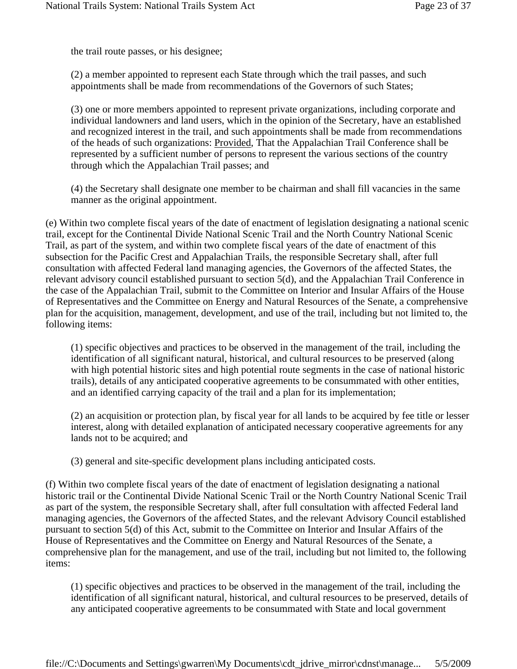the trail route passes, or his designee;

(2) a member appointed to represent each State through which the trail passes, and such appointments shall be made from recommendations of the Governors of such States;

(3) one or more members appointed to represent private organizations, including corporate and individual landowners and land users, which in the opinion of the Secretary, have an established and recognized interest in the trail, and such appointments shall be made from recommendations of the heads of such organizations: Provided, That the Appalachian Trail Conference shall be represented by a sufficient number of persons to represent the various sections of the country through which the Appalachian Trail passes; and

(4) the Secretary shall designate one member to be chairman and shall fill vacancies in the same manner as the original appointment.

(e) Within two complete fiscal years of the date of enactment of legislation designating a national scenic trail, except for the Continental Divide National Scenic Trail and the North Country National Scenic Trail, as part of the system, and within two complete fiscal years of the date of enactment of this subsection for the Pacific Crest and Appalachian Trails, the responsible Secretary shall, after full consultation with affected Federal land managing agencies, the Governors of the affected States, the relevant advisory council established pursuant to section 5(d), and the Appalachian Trail Conference in the case of the Appalachian Trail, submit to the Committee on Interior and Insular Affairs of the House of Representatives and the Committee on Energy and Natural Resources of the Senate, a comprehensive plan for the acquisition, management, development, and use of the trail, including but not limited to, the following items:

(1) specific objectives and practices to be observed in the management of the trail, including the identification of all significant natural, historical, and cultural resources to be preserved (along with high potential historic sites and high potential route segments in the case of national historic trails), details of any anticipated cooperative agreements to be consummated with other entities, and an identified carrying capacity of the trail and a plan for its implementation;

(2) an acquisition or protection plan, by fiscal year for all lands to be acquired by fee title or lesser interest, along with detailed explanation of anticipated necessary cooperative agreements for any lands not to be acquired; and

(3) general and site-specific development plans including anticipated costs.

(f) Within two complete fiscal years of the date of enactment of legislation designating a national historic trail or the Continental Divide National Scenic Trail or the North Country National Scenic Trail as part of the system, the responsible Secretary shall, after full consultation with affected Federal land managing agencies, the Governors of the affected States, and the relevant Advisory Council established pursuant to section 5(d) of this Act, submit to the Committee on Interior and Insular Affairs of the House of Representatives and the Committee on Energy and Natural Resources of the Senate, a comprehensive plan for the management, and use of the trail, including but not limited to, the following items:

(1) specific objectives and practices to be observed in the management of the trail, including the identification of all significant natural, historical, and cultural resources to be preserved, details of any anticipated cooperative agreements to be consummated with State and local government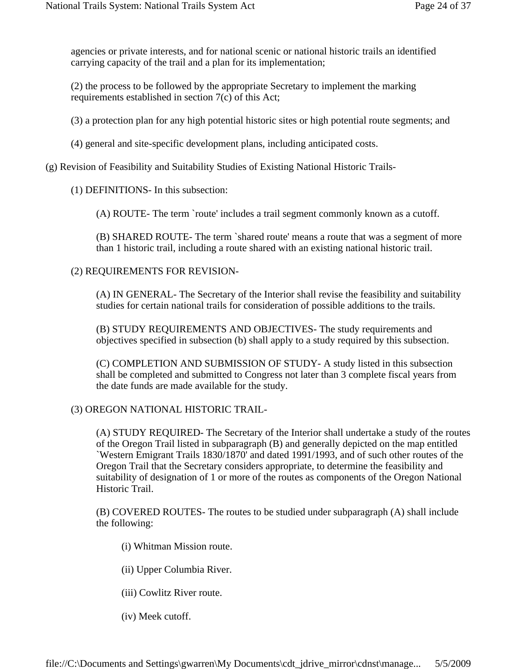agencies or private interests, and for national scenic or national historic trails an identified carrying capacity of the trail and a plan for its implementation;

(2) the process to be followed by the appropriate Secretary to implement the marking requirements established in section 7(c) of this Act;

(3) a protection plan for any high potential historic sites or high potential route segments; and

(4) general and site-specific development plans, including anticipated costs.

(g) Revision of Feasibility and Suitability Studies of Existing National Historic Trails-

## (1) DEFINITIONS- In this subsection:

(A) ROUTE- The term `route' includes a trail segment commonly known as a cutoff.

(B) SHARED ROUTE- The term `shared route' means a route that was a segment of more than 1 historic trail, including a route shared with an existing national historic trail.

### (2) REQUIREMENTS FOR REVISION-

(A) IN GENERAL- The Secretary of the Interior shall revise the feasibility and suitability studies for certain national trails for consideration of possible additions to the trails.

(B) STUDY REQUIREMENTS AND OBJECTIVES- The study requirements and objectives specified in subsection (b) shall apply to a study required by this subsection.

(C) COMPLETION AND SUBMISSION OF STUDY- A study listed in this subsection shall be completed and submitted to Congress not later than 3 complete fiscal years from the date funds are made available for the study.

# (3) OREGON NATIONAL HISTORIC TRAIL-

(A) STUDY REQUIRED- The Secretary of the Interior shall undertake a study of the routes of the Oregon Trail listed in subparagraph (B) and generally depicted on the map entitled `Western Emigrant Trails 1830/1870' and dated 1991/1993, and of such other routes of the Oregon Trail that the Secretary considers appropriate, to determine the feasibility and suitability of designation of 1 or more of the routes as components of the Oregon National Historic Trail.

(B) COVERED ROUTES- The routes to be studied under subparagraph (A) shall include the following:

- (i) Whitman Mission route.
- (ii) Upper Columbia River.
- (iii) Cowlitz River route.
- (iv) Meek cutoff.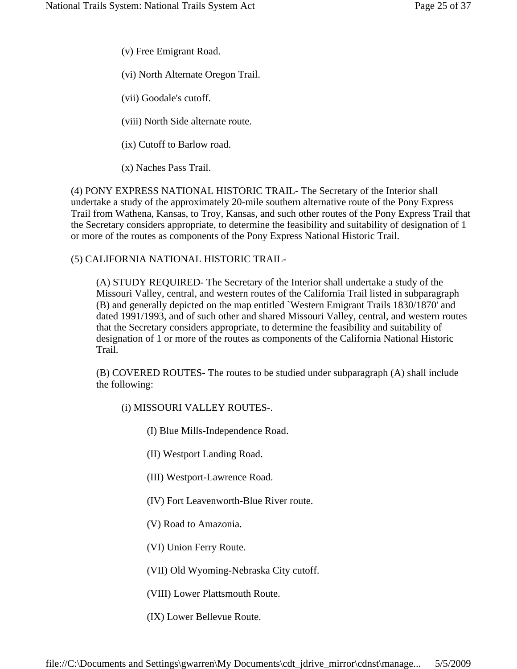(v) Free Emigrant Road.

(vi) North Alternate Oregon Trail.

(vii) Goodale's cutoff.

(viii) North Side alternate route.

(ix) Cutoff to Barlow road.

(x) Naches Pass Trail.

(4) PONY EXPRESS NATIONAL HISTORIC TRAIL- The Secretary of the Interior shall undertake a study of the approximately 20-mile southern alternative route of the Pony Express Trail from Wathena, Kansas, to Troy, Kansas, and such other routes of the Pony Express Trail that the Secretary considers appropriate, to determine the feasibility and suitability of designation of 1 or more of the routes as components of the Pony Express National Historic Trail.

(5) CALIFORNIA NATIONAL HISTORIC TRAIL-

(A) STUDY REQUIRED- The Secretary of the Interior shall undertake a study of the Missouri Valley, central, and western routes of the California Trail listed in subparagraph (B) and generally depicted on the map entitled `Western Emigrant Trails 1830/1870' and dated 1991/1993, and of such other and shared Missouri Valley, central, and western routes that the Secretary considers appropriate, to determine the feasibility and suitability of designation of 1 or more of the routes as components of the California National Historic Trail.

(B) COVERED ROUTES- The routes to be studied under subparagraph (A) shall include the following:

(i) MISSOURI VALLEY ROUTES-.

(I) Blue Mills-Independence Road.

(II) Westport Landing Road.

(III) Westport-Lawrence Road.

(IV) Fort Leavenworth-Blue River route.

(V) Road to Amazonia.

(VI) Union Ferry Route.

(VII) Old Wyoming-Nebraska City cutoff.

(VIII) Lower Plattsmouth Route.

(IX) Lower Bellevue Route.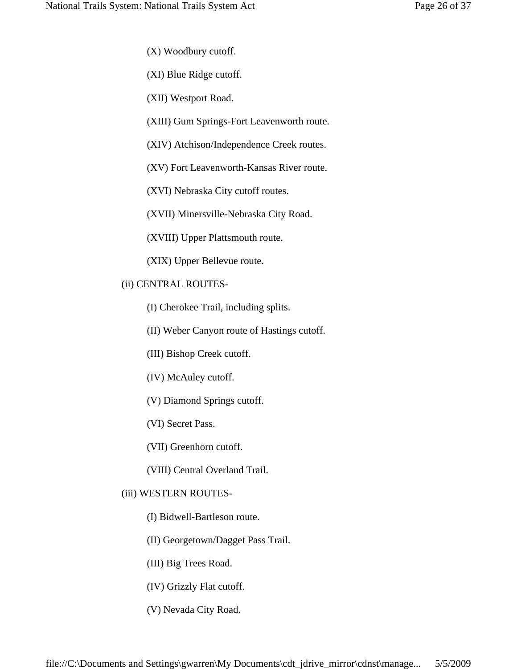- (X) Woodbury cutoff.
- (XI) Blue Ridge cutoff.
- (XII) Westport Road.
- (XIII) Gum Springs-Fort Leavenworth route.
- (XIV) Atchison/Independence Creek routes.
- (XV) Fort Leavenworth-Kansas River route.
- (XVI) Nebraska City cutoff routes.
- (XVII) Minersville-Nebraska City Road.
- (XVIII) Upper Plattsmouth route.
- (XIX) Upper Bellevue route.
- (ii) CENTRAL ROUTES-
	- (I) Cherokee Trail, including splits.
	- (II) Weber Canyon route of Hastings cutoff.
	- (III) Bishop Creek cutoff.
	- (IV) McAuley cutoff.
	- (V) Diamond Springs cutoff.
	- (VI) Secret Pass.
	- (VII) Greenhorn cutoff.
	- (VIII) Central Overland Trail.
- (iii) WESTERN ROUTES-
	- (I) Bidwell-Bartleson route.
	- (II) Georgetown/Dagget Pass Trail.
	- (III) Big Trees Road.
	- (IV) Grizzly Flat cutoff.
	- (V) Nevada City Road.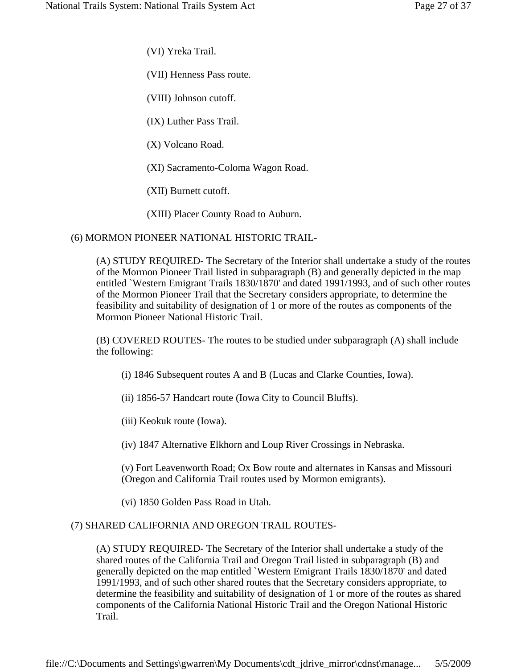(VI) Yreka Trail.

(VII) Henness Pass route.

(VIII) Johnson cutoff.

(IX) Luther Pass Trail.

(X) Volcano Road.

(XI) Sacramento-Coloma Wagon Road.

(XII) Burnett cutoff.

(XIII) Placer County Road to Auburn.

(6) MORMON PIONEER NATIONAL HISTORIC TRAIL-

(A) STUDY REQUIRED- The Secretary of the Interior shall undertake a study of the routes of the Mormon Pioneer Trail listed in subparagraph (B) and generally depicted in the map entitled `Western Emigrant Trails 1830/1870' and dated 1991/1993, and of such other routes of the Mormon Pioneer Trail that the Secretary considers appropriate, to determine the feasibility and suitability of designation of 1 or more of the routes as components of the Mormon Pioneer National Historic Trail.

(B) COVERED ROUTES- The routes to be studied under subparagraph (A) shall include the following:

(i) 1846 Subsequent routes A and B (Lucas and Clarke Counties, Iowa).

(ii) 1856-57 Handcart route (Iowa City to Council Bluffs).

(iii) Keokuk route (Iowa).

(iv) 1847 Alternative Elkhorn and Loup River Crossings in Nebraska.

(v) Fort Leavenworth Road; Ox Bow route and alternates in Kansas and Missouri (Oregon and California Trail routes used by Mormon emigrants).

(vi) 1850 Golden Pass Road in Utah.

### (7) SHARED CALIFORNIA AND OREGON TRAIL ROUTES-

(A) STUDY REQUIRED- The Secretary of the Interior shall undertake a study of the shared routes of the California Trail and Oregon Trail listed in subparagraph (B) and generally depicted on the map entitled `Western Emigrant Trails 1830/1870' and dated 1991/1993, and of such other shared routes that the Secretary considers appropriate, to determine the feasibility and suitability of designation of 1 or more of the routes as shared components of the California National Historic Trail and the Oregon National Historic Trail.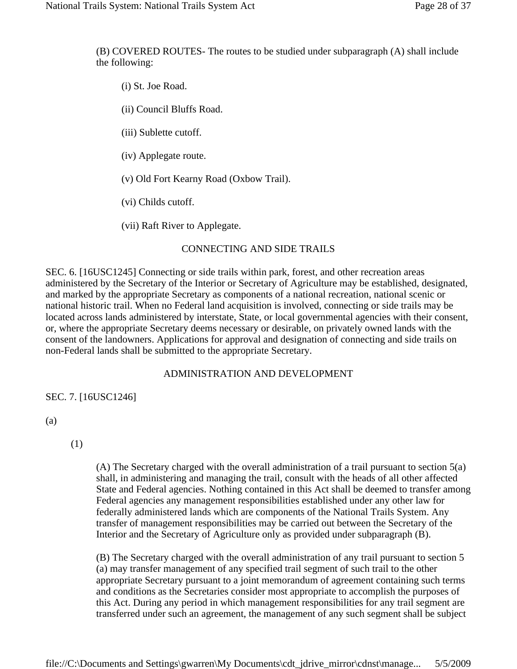(B) COVERED ROUTES- The routes to be studied under subparagraph (A) shall include the following:

(i) St. Joe Road.

(ii) Council Bluffs Road.

(iii) Sublette cutoff.

(iv) Applegate route.

(v) Old Fort Kearny Road (Oxbow Trail).

(vi) Childs cutoff.

(vii) Raft River to Applegate.

## CONNECTING AND SIDE TRAILS

SEC. 6. [16USC1245] Connecting or side trails within park, forest, and other recreation areas administered by the Secretary of the Interior or Secretary of Agriculture may be established, designated, and marked by the appropriate Secretary as components of a national recreation, national scenic or national historic trail. When no Federal land acquisition is involved, connecting or side trails may be located across lands administered by interstate, State, or local governmental agencies with their consent, or, where the appropriate Secretary deems necessary or desirable, on privately owned lands with the consent of the landowners. Applications for approval and designation of connecting and side trails on non-Federal lands shall be submitted to the appropriate Secretary.

### ADMINISTRATION AND DEVELOPMENT

SEC. 7. [16USC1246]

### (a)

(1)

(A) The Secretary charged with the overall administration of a trail pursuant to section 5(a) shall, in administering and managing the trail, consult with the heads of all other affected State and Federal agencies. Nothing contained in this Act shall be deemed to transfer among Federal agencies any management responsibilities established under any other law for federally administered lands which are components of the National Trails System. Any transfer of management responsibilities may be carried out between the Secretary of the Interior and the Secretary of Agriculture only as provided under subparagraph (B).

(B) The Secretary charged with the overall administration of any trail pursuant to section 5 (a) may transfer management of any specified trail segment of such trail to the other appropriate Secretary pursuant to a joint memorandum of agreement containing such terms and conditions as the Secretaries consider most appropriate to accomplish the purposes of this Act. During any period in which management responsibilities for any trail segment are transferred under such an agreement, the management of any such segment shall be subject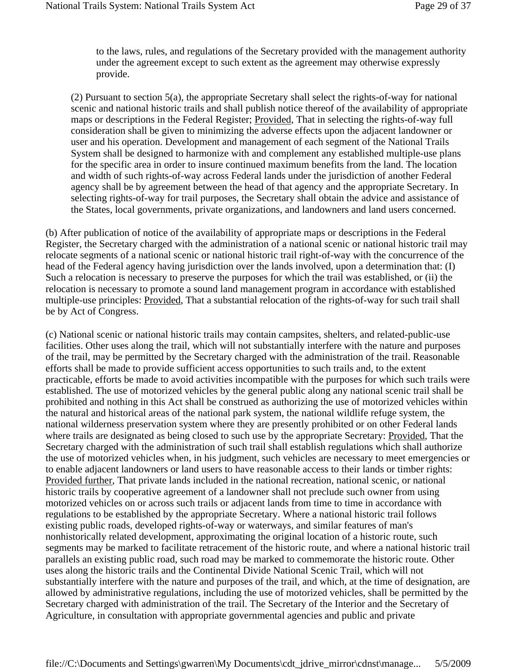to the laws, rules, and regulations of the Secretary provided with the management authority under the agreement except to such extent as the agreement may otherwise expressly provide.

(2) Pursuant to section 5(a), the appropriate Secretary shall select the rights-of-way for national scenic and national historic trails and shall publish notice thereof of the availability of appropriate maps or descriptions in the Federal Register; Provided, That in selecting the rights-of-way full consideration shall be given to minimizing the adverse effects upon the adjacent landowner or user and his operation. Development and management of each segment of the National Trails System shall be designed to harmonize with and complement any established multiple-use plans for the specific area in order to insure continued maximum benefits from the land. The location and width of such rights-of-way across Federal lands under the jurisdiction of another Federal agency shall be by agreement between the head of that agency and the appropriate Secretary. In selecting rights-of-way for trail purposes, the Secretary shall obtain the advice and assistance of the States, local governments, private organizations, and landowners and land users concerned.

(b) After publication of notice of the availability of appropriate maps or descriptions in the Federal Register, the Secretary charged with the administration of a national scenic or national historic trail may relocate segments of a national scenic or national historic trail right-of-way with the concurrence of the head of the Federal agency having jurisdiction over the lands involved, upon a determination that: (I) Such a relocation is necessary to preserve the purposes for which the trail was established, or (ii) the relocation is necessary to promote a sound land management program in accordance with established multiple-use principles: Provided, That a substantial relocation of the rights-of-way for such trail shall be by Act of Congress.

(c) National scenic or national historic trails may contain campsites, shelters, and related-public-use facilities. Other uses along the trail, which will not substantially interfere with the nature and purposes of the trail, may be permitted by the Secretary charged with the administration of the trail. Reasonable efforts shall be made to provide sufficient access opportunities to such trails and, to the extent practicable, efforts be made to avoid activities incompatible with the purposes for which such trails were established. The use of motorized vehicles by the general public along any national scenic trail shall be prohibited and nothing in this Act shall be construed as authorizing the use of motorized vehicles within the natural and historical areas of the national park system, the national wildlife refuge system, the national wilderness preservation system where they are presently prohibited or on other Federal lands where trails are designated as being closed to such use by the appropriate Secretary: Provided, That the Secretary charged with the administration of such trail shall establish regulations which shall authorize the use of motorized vehicles when, in his judgment, such vehicles are necessary to meet emergencies or to enable adjacent landowners or land users to have reasonable access to their lands or timber rights: Provided further, That private lands included in the national recreation, national scenic, or national historic trails by cooperative agreement of a landowner shall not preclude such owner from using motorized vehicles on or across such trails or adjacent lands from time to time in accordance with regulations to be established by the appropriate Secretary. Where a national historic trail follows existing public roads, developed rights-of-way or waterways, and similar features of man's nonhistorically related development, approximating the original location of a historic route, such segments may be marked to facilitate retracement of the historic route, and where a national historic trail parallels an existing public road, such road may be marked to commemorate the historic route. Other uses along the historic trails and the Continental Divide National Scenic Trail, which will not substantially interfere with the nature and purposes of the trail, and which, at the time of designation, are allowed by administrative regulations, including the use of motorized vehicles, shall be permitted by the Secretary charged with administration of the trail. The Secretary of the Interior and the Secretary of Agriculture, in consultation with appropriate governmental agencies and public and private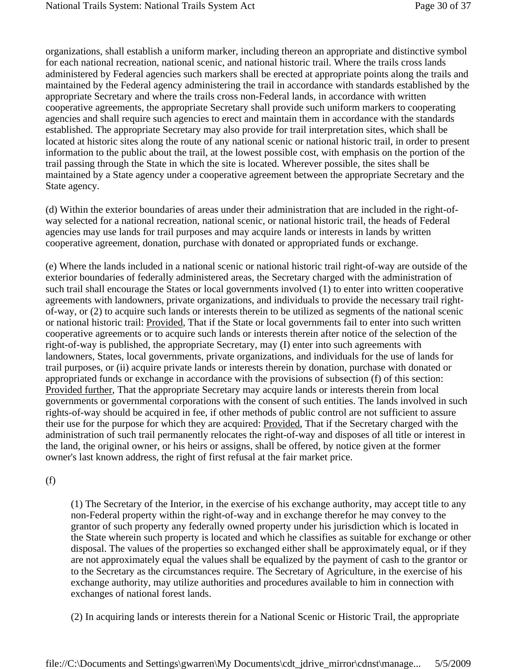organizations, shall establish a uniform marker, including thereon an appropriate and distinctive symbol for each national recreation, national scenic, and national historic trail. Where the trails cross lands administered by Federal agencies such markers shall be erected at appropriate points along the trails and maintained by the Federal agency administering the trail in accordance with standards established by the appropriate Secretary and where the trails cross non-Federal lands, in accordance with written cooperative agreements, the appropriate Secretary shall provide such uniform markers to cooperating agencies and shall require such agencies to erect and maintain them in accordance with the standards established. The appropriate Secretary may also provide for trail interpretation sites, which shall be located at historic sites along the route of any national scenic or national historic trail, in order to present information to the public about the trail, at the lowest possible cost, with emphasis on the portion of the trail passing through the State in which the site is located. Wherever possible, the sites shall be maintained by a State agency under a cooperative agreement between the appropriate Secretary and the State agency.

(d) Within the exterior boundaries of areas under their administration that are included in the right-ofway selected for a national recreation, national scenic, or national historic trail, the heads of Federal agencies may use lands for trail purposes and may acquire lands or interests in lands by written cooperative agreement, donation, purchase with donated or appropriated funds or exchange.

(e) Where the lands included in a national scenic or national historic trail right-of-way are outside of the exterior boundaries of federally administered areas, the Secretary charged with the administration of such trail shall encourage the States or local governments involved (1) to enter into written cooperative agreements with landowners, private organizations, and individuals to provide the necessary trail rightof-way, or (2) to acquire such lands or interests therein to be utilized as segments of the national scenic or national historic trail: Provided, That if the State or local governments fail to enter into such written cooperative agreements or to acquire such lands or interests therein after notice of the selection of the right-of-way is published, the appropriate Secretary, may (I) enter into such agreements with landowners, States, local governments, private organizations, and individuals for the use of lands for trail purposes, or (ii) acquire private lands or interests therein by donation, purchase with donated or appropriated funds or exchange in accordance with the provisions of subsection (f) of this section: Provided further, That the appropriate Secretary may acquire lands or interests therein from local governments or governmental corporations with the consent of such entities. The lands involved in such rights-of-way should be acquired in fee, if other methods of public control are not sufficient to assure their use for the purpose for which they are acquired: Provided, That if the Secretary charged with the administration of such trail permanently relocates the right-of-way and disposes of all title or interest in the land, the original owner, or his heirs or assigns, shall be offered, by notice given at the former owner's last known address, the right of first refusal at the fair market price.

(f)

(1) The Secretary of the Interior, in the exercise of his exchange authority, may accept title to any non-Federal property within the right-of-way and in exchange therefor he may convey to the grantor of such property any federally owned property under his jurisdiction which is located in the State wherein such property is located and which he classifies as suitable for exchange or other disposal. The values of the properties so exchanged either shall be approximately equal, or if they are not approximately equal the values shall be equalized by the payment of cash to the grantor or to the Secretary as the circumstances require. The Secretary of Agriculture, in the exercise of his exchange authority, may utilize authorities and procedures available to him in connection with exchanges of national forest lands.

(2) In acquiring lands or interests therein for a National Scenic or Historic Trail, the appropriate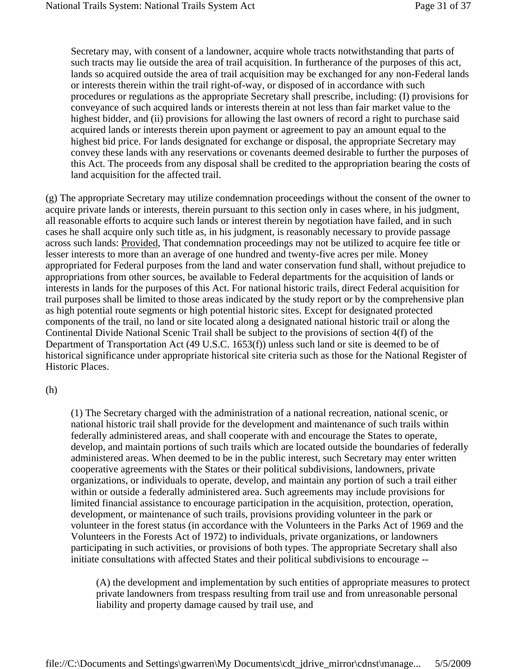Secretary may, with consent of a landowner, acquire whole tracts notwithstanding that parts of such tracts may lie outside the area of trail acquisition. In furtherance of the purposes of this act, lands so acquired outside the area of trail acquisition may be exchanged for any non-Federal lands or interests therein within the trail right-of-way, or disposed of in accordance with such procedures or regulations as the appropriate Secretary shall prescribe, including: (I) provisions for conveyance of such acquired lands or interests therein at not less than fair market value to the highest bidder, and (ii) provisions for allowing the last owners of record a right to purchase said acquired lands or interests therein upon payment or agreement to pay an amount equal to the highest bid price. For lands designated for exchange or disposal, the appropriate Secretary may convey these lands with any reservations or covenants deemed desirable to further the purposes of this Act. The proceeds from any disposal shall be credited to the appropriation bearing the costs of land acquisition for the affected trail.

(g) The appropriate Secretary may utilize condemnation proceedings without the consent of the owner to acquire private lands or interests, therein pursuant to this section only in cases where, in his judgment, all reasonable efforts to acquire such lands or interest therein by negotiation have failed, and in such cases he shall acquire only such title as, in his judgment, is reasonably necessary to provide passage across such lands: Provided, That condemnation proceedings may not be utilized to acquire fee title or lesser interests to more than an average of one hundred and twenty-five acres per mile. Money appropriated for Federal purposes from the land and water conservation fund shall, without prejudice to appropriations from other sources, be available to Federal departments for the acquisition of lands or interests in lands for the purposes of this Act. For national historic trails, direct Federal acquisition for trail purposes shall be limited to those areas indicated by the study report or by the comprehensive plan as high potential route segments or high potential historic sites. Except for designated protected components of the trail, no land or site located along a designated national historic trail or along the Continental Divide National Scenic Trail shall be subject to the provisions of section 4(f) of the Department of Transportation Act (49 U.S.C. 1653(f)) unless such land or site is deemed to be of historical significance under appropriate historical site criteria such as those for the National Register of Historic Places.

```
(h)
```
(1) The Secretary charged with the administration of a national recreation, national scenic, or national historic trail shall provide for the development and maintenance of such trails within federally administered areas, and shall cooperate with and encourage the States to operate, develop, and maintain portions of such trails which are located outside the boundaries of federally administered areas. When deemed to be in the public interest, such Secretary may enter written cooperative agreements with the States or their political subdivisions, landowners, private organizations, or individuals to operate, develop, and maintain any portion of such a trail either within or outside a federally administered area. Such agreements may include provisions for limited financial assistance to encourage participation in the acquisition, protection, operation, development, or maintenance of such trails, provisions providing volunteer in the park or volunteer in the forest status (in accordance with the Volunteers in the Parks Act of 1969 and the Volunteers in the Forests Act of 1972) to individuals, private organizations, or landowners participating in such activities, or provisions of both types. The appropriate Secretary shall also initiate consultations with affected States and their political subdivisions to encourage --

(A) the development and implementation by such entities of appropriate measures to protect private landowners from trespass resulting from trail use and from unreasonable personal liability and property damage caused by trail use, and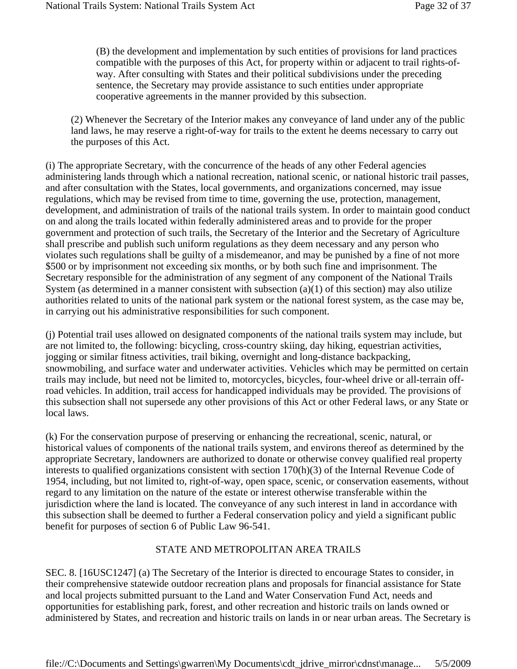(B) the development and implementation by such entities of provisions for land practices compatible with the purposes of this Act, for property within or adjacent to trail rights-ofway. After consulting with States and their political subdivisions under the preceding sentence, the Secretary may provide assistance to such entities under appropriate cooperative agreements in the manner provided by this subsection.

(2) Whenever the Secretary of the Interior makes any conveyance of land under any of the public land laws, he may reserve a right-of-way for trails to the extent he deems necessary to carry out the purposes of this Act.

(i) The appropriate Secretary, with the concurrence of the heads of any other Federal agencies administering lands through which a national recreation, national scenic, or national historic trail passes, and after consultation with the States, local governments, and organizations concerned, may issue regulations, which may be revised from time to time, governing the use, protection, management, development, and administration of trails of the national trails system. In order to maintain good conduct on and along the trails located within federally administered areas and to provide for the proper government and protection of such trails, the Secretary of the Interior and the Secretary of Agriculture shall prescribe and publish such uniform regulations as they deem necessary and any person who violates such regulations shall be guilty of a misdemeanor, and may be punished by a fine of not more \$500 or by imprisonment not exceeding six months, or by both such fine and imprisonment. The Secretary responsible for the administration of any segment of any component of the National Trails System (as determined in a manner consistent with subsection  $(a)(1)$  of this section) may also utilize authorities related to units of the national park system or the national forest system, as the case may be, in carrying out his administrative responsibilities for such component.

(j) Potential trail uses allowed on designated components of the national trails system may include, but are not limited to, the following: bicycling, cross-country skiing, day hiking, equestrian activities, jogging or similar fitness activities, trail biking, overnight and long-distance backpacking, snowmobiling, and surface water and underwater activities. Vehicles which may be permitted on certain trails may include, but need not be limited to, motorcycles, bicycles, four-wheel drive or all-terrain offroad vehicles. In addition, trail access for handicapped individuals may be provided. The provisions of this subsection shall not supersede any other provisions of this Act or other Federal laws, or any State or local laws.

(k) For the conservation purpose of preserving or enhancing the recreational, scenic, natural, or historical values of components of the national trails system, and environs thereof as determined by the appropriate Secretary, landowners are authorized to donate or otherwise convey qualified real property interests to qualified organizations consistent with section 170(h)(3) of the Internal Revenue Code of 1954, including, but not limited to, right-of-way, open space, scenic, or conservation easements, without regard to any limitation on the nature of the estate or interest otherwise transferable within the jurisdiction where the land is located. The conveyance of any such interest in land in accordance with this subsection shall be deemed to further a Federal conservation policy and yield a significant public benefit for purposes of section 6 of Public Law 96-541.

### STATE AND METROPOLITAN AREA TRAILS

SEC. 8. [16USC1247] (a) The Secretary of the Interior is directed to encourage States to consider, in their comprehensive statewide outdoor recreation plans and proposals for financial assistance for State and local projects submitted pursuant to the Land and Water Conservation Fund Act, needs and opportunities for establishing park, forest, and other recreation and historic trails on lands owned or administered by States, and recreation and historic trails on lands in or near urban areas. The Secretary is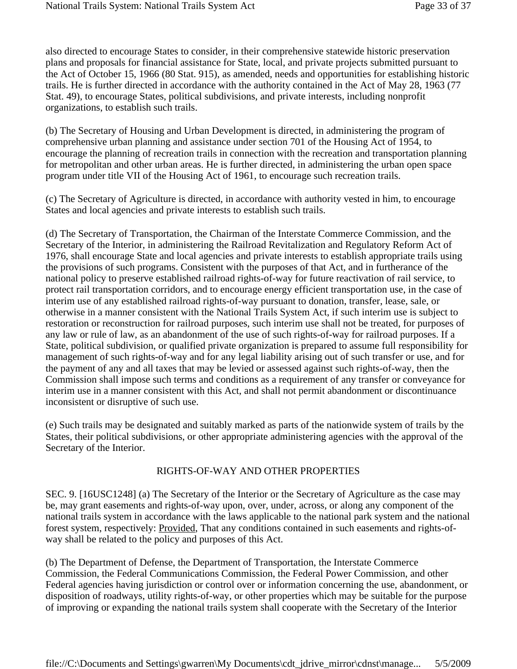also directed to encourage States to consider, in their comprehensive statewide historic preservation plans and proposals for financial assistance for State, local, and private projects submitted pursuant to the Act of October 15, 1966 (80 Stat. 915), as amended, needs and opportunities for establishing historic trails. He is further directed in accordance with the authority contained in the Act of May 28, 1963 (77 Stat. 49), to encourage States, political subdivisions, and private interests, including nonprofit organizations, to establish such trails.

(b) The Secretary of Housing and Urban Development is directed, in administering the program of comprehensive urban planning and assistance under section 701 of the Housing Act of 1954, to encourage the planning of recreation trails in connection with the recreation and transportation planning for metropolitan and other urban areas. He is further directed, in administering the urban open space program under title VII of the Housing Act of 1961, to encourage such recreation trails.

(c) The Secretary of Agriculture is directed, in accordance with authority vested in him, to encourage States and local agencies and private interests to establish such trails.

(d) The Secretary of Transportation, the Chairman of the Interstate Commerce Commission, and the Secretary of the Interior, in administering the Railroad Revitalization and Regulatory Reform Act of 1976, shall encourage State and local agencies and private interests to establish appropriate trails using the provisions of such programs. Consistent with the purposes of that Act, and in furtherance of the national policy to preserve established railroad rights-of-way for future reactivation of rail service, to protect rail transportation corridors, and to encourage energy efficient transportation use, in the case of interim use of any established railroad rights-of-way pursuant to donation, transfer, lease, sale, or otherwise in a manner consistent with the National Trails System Act, if such interim use is subject to restoration or reconstruction for railroad purposes, such interim use shall not be treated, for purposes of any law or rule of law, as an abandonment of the use of such rights-of-way for railroad purposes. If a State, political subdivision, or qualified private organization is prepared to assume full responsibility for management of such rights-of-way and for any legal liability arising out of such transfer or use, and for the payment of any and all taxes that may be levied or assessed against such rights-of-way, then the Commission shall impose such terms and conditions as a requirement of any transfer or conveyance for interim use in a manner consistent with this Act, and shall not permit abandonment or discontinuance inconsistent or disruptive of such use.

(e) Such trails may be designated and suitably marked as parts of the nationwide system of trails by the States, their political subdivisions, or other appropriate administering agencies with the approval of the Secretary of the Interior.

### RIGHTS-OF-WAY AND OTHER PROPERTIES

SEC. 9. [16USC1248] (a) The Secretary of the Interior or the Secretary of Agriculture as the case may be, may grant easements and rights-of-way upon, over, under, across, or along any component of the national trails system in accordance with the laws applicable to the national park system and the national forest system, respectively: Provided, That any conditions contained in such easements and rights-ofway shall be related to the policy and purposes of this Act.

(b) The Department of Defense, the Department of Transportation, the Interstate Commerce Commission, the Federal Communications Commission, the Federal Power Commission, and other Federal agencies having jurisdiction or control over or information concerning the use, abandonment, or disposition of roadways, utility rights-of-way, or other properties which may be suitable for the purpose of improving or expanding the national trails system shall cooperate with the Secretary of the Interior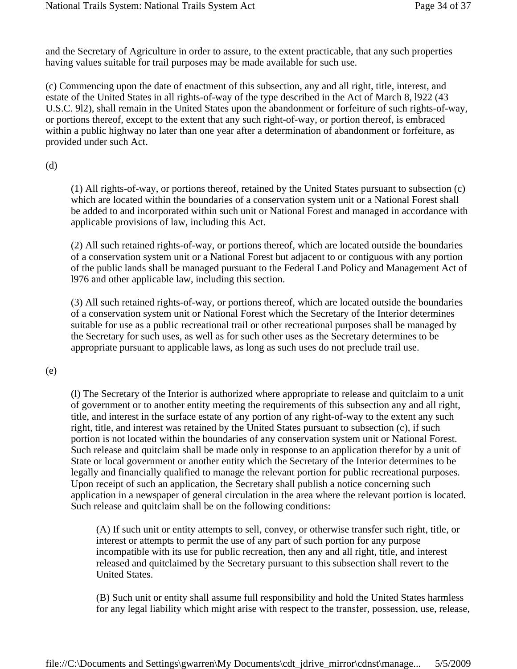and the Secretary of Agriculture in order to assure, to the extent practicable, that any such properties having values suitable for trail purposes may be made available for such use.

(c) Commencing upon the date of enactment of this subsection, any and all right, title, interest, and estate of the United States in all rights-of-way of the type described in the Act of March 8, l922 (43 U.S.C. 9l2), shall remain in the United States upon the abandonment or forfeiture of such rights-of-way, or portions thereof, except to the extent that any such right-of-way, or portion thereof, is embraced within a public highway no later than one year after a determination of abandonment or forfeiture, as provided under such Act.

(d)

(1) All rights-of-way, or portions thereof, retained by the United States pursuant to subsection (c) which are located within the boundaries of a conservation system unit or a National Forest shall be added to and incorporated within such unit or National Forest and managed in accordance with applicable provisions of law, including this Act.

(2) All such retained rights-of-way, or portions thereof, which are located outside the boundaries of a conservation system unit or a National Forest but adjacent to or contiguous with any portion of the public lands shall be managed pursuant to the Federal Land Policy and Management Act of l976 and other applicable law, including this section.

(3) All such retained rights-of-way, or portions thereof, which are located outside the boundaries of a conservation system unit or National Forest which the Secretary of the Interior determines suitable for use as a public recreational trail or other recreational purposes shall be managed by the Secretary for such uses, as well as for such other uses as the Secretary determines to be appropriate pursuant to applicable laws, as long as such uses do not preclude trail use.

(e)

(l) The Secretary of the Interior is authorized where appropriate to release and quitclaim to a unit of government or to another entity meeting the requirements of this subsection any and all right, title, and interest in the surface estate of any portion of any right-of-way to the extent any such right, title, and interest was retained by the United States pursuant to subsection (c), if such portion is not located within the boundaries of any conservation system unit or National Forest. Such release and quitclaim shall be made only in response to an application therefor by a unit of State or local government or another entity which the Secretary of the Interior determines to be legally and financially qualified to manage the relevant portion for public recreational purposes. Upon receipt of such an application, the Secretary shall publish a notice concerning such application in a newspaper of general circulation in the area where the relevant portion is located. Such release and quitclaim shall be on the following conditions:

(A) If such unit or entity attempts to sell, convey, or otherwise transfer such right, title, or interest or attempts to permit the use of any part of such portion for any purpose incompatible with its use for public recreation, then any and all right, title, and interest released and quitclaimed by the Secretary pursuant to this subsection shall revert to the United States.

(B) Such unit or entity shall assume full responsibility and hold the United States harmless for any legal liability which might arise with respect to the transfer, possession, use, release,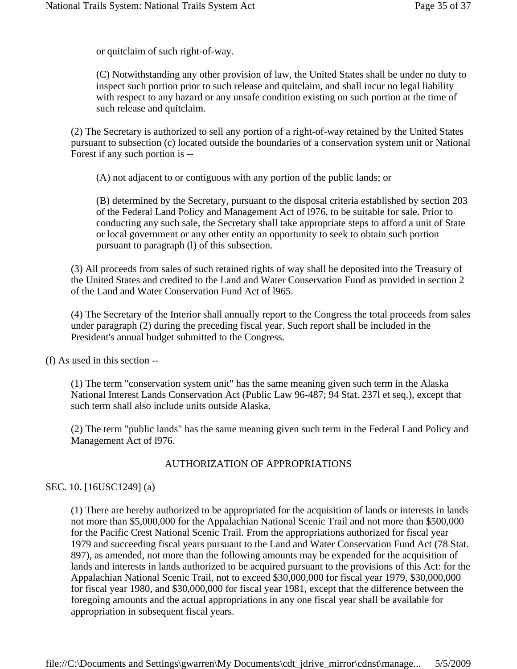or quitclaim of such right-of-way.

(C) Notwithstanding any other provision of law, the United States shall be under no duty to inspect such portion prior to such release and quitclaim, and shall incur no legal liability with respect to any hazard or any unsafe condition existing on such portion at the time of such release and quitclaim.

(2) The Secretary is authorized to sell any portion of a right-of-way retained by the United States pursuant to subsection (c) located outside the boundaries of a conservation system unit or National Forest if any such portion is --

(A) not adjacent to or contiguous with any portion of the public lands; or

(B) determined by the Secretary, pursuant to the disposal criteria established by section 203 of the Federal Land Policy and Management Act of l976, to be suitable for sale. Prior to conducting any such sale, the Secretary shall take appropriate steps to afford a unit of State or local government or any other entity an opportunity to seek to obtain such portion pursuant to paragraph (l) of this subsection.

(3) All proceeds from sales of such retained rights of way shall be deposited into the Treasury of the United States and credited to the Land and Water Conservation Fund as provided in section 2 of the Land and Water Conservation Fund Act of l965.

(4) The Secretary of the Interior shall annually report to the Congress the total proceeds from sales under paragraph (2) during the preceding fiscal year. Such report shall be included in the President's annual budget submitted to the Congress.

(f) As used in this section --

(1) The term "conservation system unit" has the same meaning given such term in the Alaska National Interest Lands Conservation Act (Public Law 96-487; 94 Stat. 237l et seq.), except that such term shall also include units outside Alaska.

(2) The term "public lands" has the same meaning given such term in the Federal Land Policy and Management Act of l976.

### AUTHORIZATION OF APPROPRIATIONS

#### SEC. 10. [16USC1249] (a)

(1) There are hereby authorized to be appropriated for the acquisition of lands or interests in lands not more than \$5,000,000 for the Appalachian National Scenic Trail and not more than \$500,000 for the Pacific Crest National Scenic Trail. From the appropriations authorized for fiscal year 1979 and succeeding fiscal years pursuant to the Land and Water Conservation Fund Act (78 Stat. 897), as amended, not more than the following amounts may be expended for the acquisition of lands and interests in lands authorized to be acquired pursuant to the provisions of this Act: for the Appalachian National Scenic Trail, not to exceed \$30,000,000 for fiscal year 1979, \$30,000,000 for fiscal year 1980, and \$30,000,000 for fiscal year 1981, except that the difference between the foregoing amounts and the actual appropriations in any one fiscal year shall be available for appropriation in subsequent fiscal years.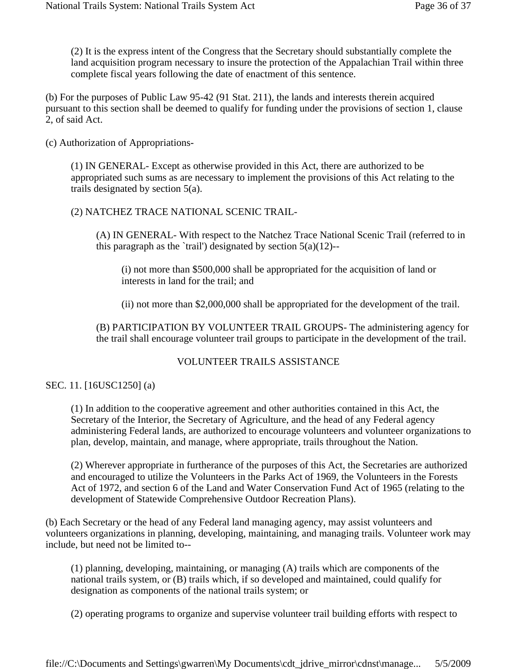(2) It is the express intent of the Congress that the Secretary should substantially complete the land acquisition program necessary to insure the protection of the Appalachian Trail within three complete fiscal years following the date of enactment of this sentence.

(b) For the purposes of Public Law 95-42 (91 Stat. 211), the lands and interests therein acquired pursuant to this section shall be deemed to qualify for funding under the provisions of section 1, clause 2, of said Act.

(c) Authorization of Appropriations-

(1) IN GENERAL- Except as otherwise provided in this Act, there are authorized to be appropriated such sums as are necessary to implement the provisions of this Act relating to the trails designated by section 5(a).

### (2) NATCHEZ TRACE NATIONAL SCENIC TRAIL-

(A) IN GENERAL- With respect to the Natchez Trace National Scenic Trail (referred to in this paragraph as the 'trail') designated by section  $5(a)(12)$ --

(i) not more than \$500,000 shall be appropriated for the acquisition of land or interests in land for the trail; and

(ii) not more than \$2,000,000 shall be appropriated for the development of the trail.

(B) PARTICIPATION BY VOLUNTEER TRAIL GROUPS- The administering agency for the trail shall encourage volunteer trail groups to participate in the development of the trail.

#### VOLUNTEER TRAILS ASSISTANCE

SEC. 11. [16USC1250] (a)

(1) In addition to the cooperative agreement and other authorities contained in this Act, the Secretary of the Interior, the Secretary of Agriculture, and the head of any Federal agency administering Federal lands, are authorized to encourage volunteers and volunteer organizations to plan, develop, maintain, and manage, where appropriate, trails throughout the Nation.

(2) Wherever appropriate in furtherance of the purposes of this Act, the Secretaries are authorized and encouraged to utilize the Volunteers in the Parks Act of 1969, the Volunteers in the Forests Act of 1972, and section 6 of the Land and Water Conservation Fund Act of 1965 (relating to the development of Statewide Comprehensive Outdoor Recreation Plans).

(b) Each Secretary or the head of any Federal land managing agency, may assist volunteers and volunteers organizations in planning, developing, maintaining, and managing trails. Volunteer work may include, but need not be limited to--

(1) planning, developing, maintaining, or managing (A) trails which are components of the national trails system, or (B) trails which, if so developed and maintained, could qualify for designation as components of the national trails system; or

(2) operating programs to organize and supervise volunteer trail building efforts with respect to